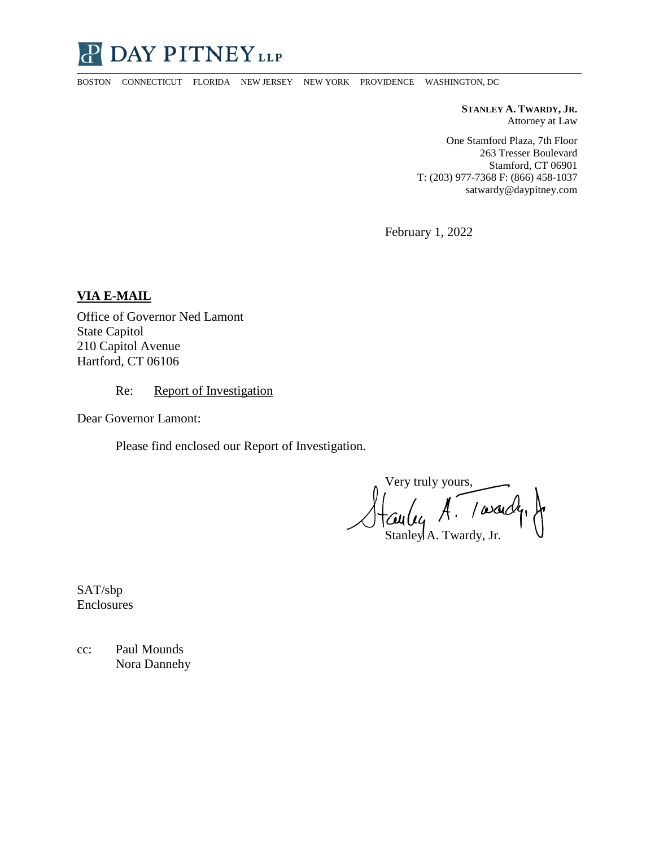

BOSTON CONNECTICUT FLORIDA NEW JERSEY NEW YORK PROVIDENCE WASHINGTON, DC

**STANLEY A. TWARDY, JR.** Attorney at Law

One Stamford Plaza, 7th Floor 263 Tresser Boulevard Stamford, CT 06901 T: (203) 977-7368 F: (866) 458-1037 satwardy@daypitney.com

February 1, 2022

**VIA E-MAIL** 

Office of Governor Ned Lamont State Capitol 210 Capitol Avenue Hartford, CT 06106

Re: Report of Investigation

Dear Governor Lamont:

Please find enclosed our Report of Investigation.

Very truly yours, Stanley A. Twardy, Jr.

SAT/sbp Enclosures

cc: Paul Mounds Nora Dannehy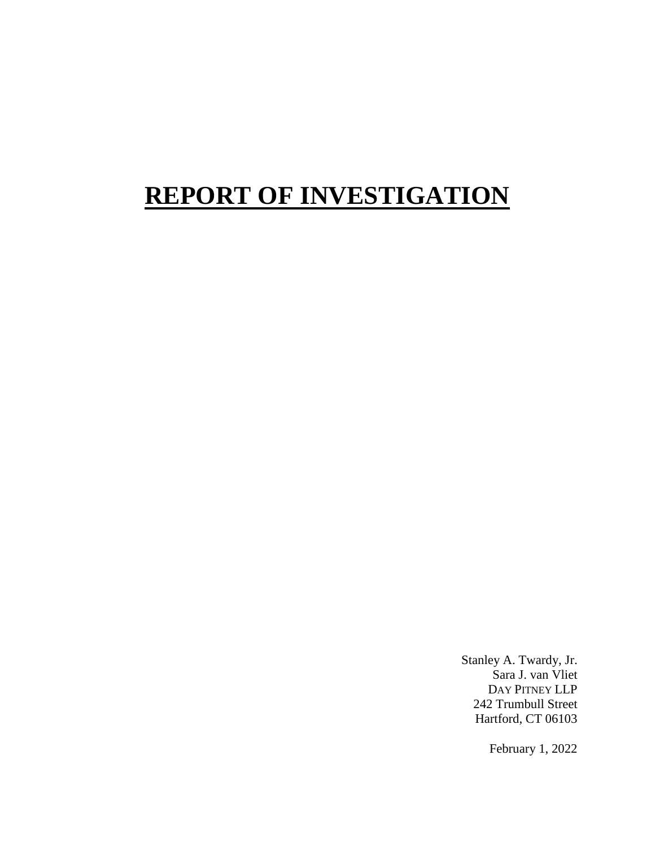# **REPORT OF INVESTIGATION**

Stanley A. Twardy, Jr. Sara J. van Vliet DAY PITNEY LLP 242 Trumbull Street Hartford, CT 06103

February 1, 2022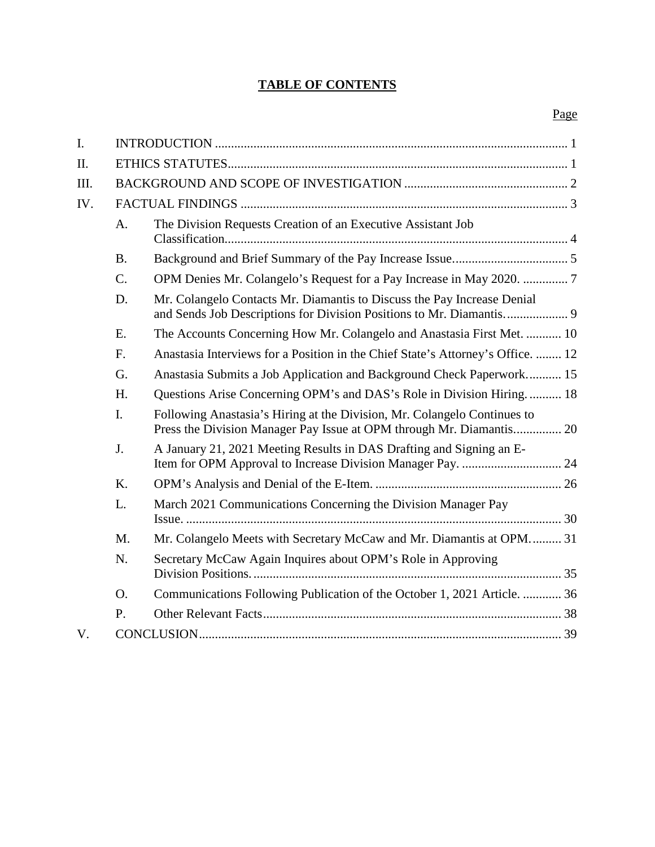## **TABLE OF CONTENTS**

| $\mathbf{I}$ . |                 |                                                                                                                                                  |
|----------------|-----------------|--------------------------------------------------------------------------------------------------------------------------------------------------|
| II.            |                 |                                                                                                                                                  |
| III.           |                 |                                                                                                                                                  |
| IV.            |                 |                                                                                                                                                  |
|                | A.              | The Division Requests Creation of an Executive Assistant Job                                                                                     |
|                | <b>B.</b>       |                                                                                                                                                  |
|                | $\mathcal{C}$ . |                                                                                                                                                  |
|                | D.              | Mr. Colangelo Contacts Mr. Diamantis to Discuss the Pay Increase Denial                                                                          |
|                | E.              | The Accounts Concerning How Mr. Colangelo and Anastasia First Met.  10                                                                           |
|                | F.              | Anastasia Interviews for a Position in the Chief State's Attorney's Office.  12                                                                  |
|                | G.              | Anastasia Submits a Job Application and Background Check Paperwork 15                                                                            |
|                | H.              | Questions Arise Concerning OPM's and DAS's Role in Division Hiring 18                                                                            |
|                | I.              | Following Anastasia's Hiring at the Division, Mr. Colangelo Continues to<br>Press the Division Manager Pay Issue at OPM through Mr. Diamantis 20 |
|                | J.              | A January 21, 2021 Meeting Results in DAS Drafting and Signing an E-<br>Item for OPM Approval to Increase Division Manager Pay.  24              |
|                | $K_{\cdot}$     |                                                                                                                                                  |
|                | L.              | March 2021 Communications Concerning the Division Manager Pay                                                                                    |
|                | M.              | Mr. Colangelo Meets with Secretary McCaw and Mr. Diamantis at OPM 31                                                                             |
|                | N.              | Secretary McCaw Again Inquires about OPM's Role in Approving                                                                                     |
|                | O.              | Communications Following Publication of the October 1, 2021 Article.  36                                                                         |
|                | P.              |                                                                                                                                                  |
| V.             |                 |                                                                                                                                                  |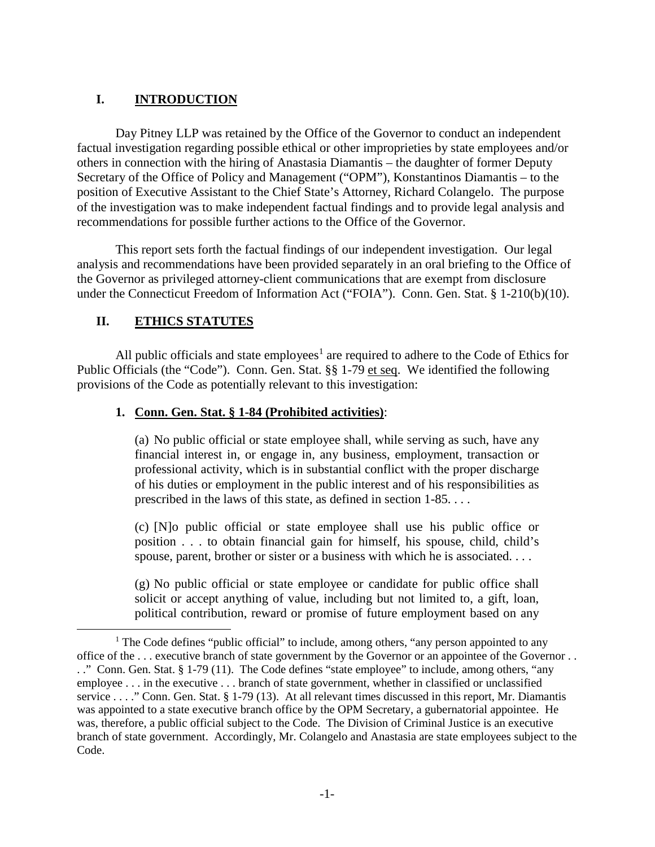### **I. INTRODUCTION**

Day Pitney LLP was retained by the Office of the Governor to conduct an independent factual investigation regarding possible ethical or other improprieties by state employees and/or others in connection with the hiring of Anastasia Diamantis – the daughter of former Deputy Secretary of the Office of Policy and Management ("OPM"), Konstantinos Diamantis – to the position of Executive Assistant to the Chief State's Attorney, Richard Colangelo. The purpose of the investigation was to make independent factual findings and to provide legal analysis and recommendations for possible further actions to the Office of the Governor.

This report sets forth the factual findings of our independent investigation. Our legal analysis and recommendations have been provided separately in an oral briefing to the Office of the Governor as privileged attorney-client communications that are exempt from disclosure under the Connecticut Freedom of Information Act ("FOIA"). Conn. Gen. Stat. § 1-210(b)(10).

### **II. ETHICS STATUTES**

All public officials and state employees<sup>1</sup> are required to adhere to the Code of Ethics for Public Officials (the "Code"). Conn. Gen. Stat. §§ 1-79 et seq. We identified the following provisions of the Code as potentially relevant to this investigation:

#### **1. Conn. Gen. Stat. § 1-84 (Prohibited activities)**:

(a) No public official or state employee shall, while serving as such, have any financial interest in, or engage in, any business, employment, transaction or professional activity, which is in substantial conflict with the proper discharge of his duties or employment in the public interest and of his responsibilities as prescribed in the laws of this state, as defined in section 1-85. . . .

(c) [N]o public official or state employee shall use his public office or position . . . to obtain financial gain for himself, his spouse, child, child's spouse, parent, brother or sister or a business with which he is associated. . . .

(g) No public official or state employee or candidate for public office shall solicit or accept anything of value, including but not limited to, a gift, loan, political contribution, reward or promise of future employment based on any

<sup>&</sup>lt;sup>1</sup> The Code defines "public official" to include, among others, "any person appointed to any office of the . . . executive branch of state government by the Governor or an appointee of the Governor . . .." Conn. Gen. Stat. § 1-79 (11). The Code defines "state employee" to include, among others, "any employee . . . in the executive . . . branch of state government, whether in classified or unclassified service . . . ." Conn. Gen. Stat. § 1-79 (13). At all relevant times discussed in this report, Mr. Diamantis was appointed to a state executive branch office by the OPM Secretary, a gubernatorial appointee. He was, therefore, a public official subject to the Code. The Division of Criminal Justice is an executive branch of state government. Accordingly, Mr. Colangelo and Anastasia are state employees subject to the Code.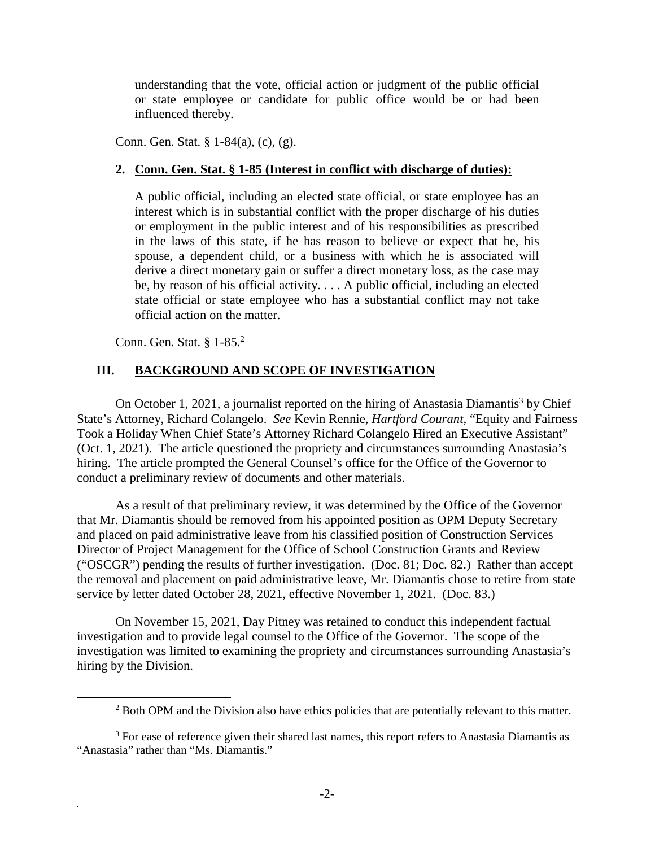understanding that the vote, official action or judgment of the public official or state employee or candidate for public office would be or had been influenced thereby.

Conn. Gen. Stat. § 1-84(a), (c), (g).

#### **2. Conn. Gen. Stat. § 1-85 (Interest in conflict with discharge of duties):**

A public official, including an elected state official, or state employee has an interest which is in substantial conflict with the proper discharge of his duties or employment in the public interest and of his responsibilities as prescribed in the laws of this state, if he has reason to believe or expect that he, his spouse, a dependent child, or a business with which he is associated will derive a direct monetary gain or suffer a direct monetary loss, as the case may be, by reason of his official activity. . . . A public official, including an elected state official or state employee who has a substantial conflict may not take official action on the matter.

Conn. Gen. Stat. § 1-85.<sup>2</sup>

.

#### **III. BACKGROUND AND SCOPE OF INVESTIGATION**

On October 1, 2021, a journalist reported on the hiring of Anastasia Diamantis<sup>3</sup> by Chief State's Attorney, Richard Colangelo. *See* Kevin Rennie, *Hartford Courant*, "Equity and Fairness Took a Holiday When Chief State's Attorney Richard Colangelo Hired an Executive Assistant" (Oct. 1, 2021). The article questioned the propriety and circumstances surrounding Anastasia's hiring. The article prompted the General Counsel's office for the Office of the Governor to conduct a preliminary review of documents and other materials.

As a result of that preliminary review, it was determined by the Office of the Governor that Mr. Diamantis should be removed from his appointed position as OPM Deputy Secretary and placed on paid administrative leave from his classified position of Construction Services Director of Project Management for the Office of School Construction Grants and Review ("OSCGR") pending the results of further investigation. (Doc. 81; Doc. 82.) Rather than accept the removal and placement on paid administrative leave, Mr. Diamantis chose to retire from state service by letter dated October 28, 2021, effective November 1, 2021. (Doc. 83.)

On November 15, 2021, Day Pitney was retained to conduct this independent factual investigation and to provide legal counsel to the Office of the Governor. The scope of the investigation was limited to examining the propriety and circumstances surrounding Anastasia's hiring by the Division.

<sup>&</sup>lt;sup>2</sup> Both OPM and the Division also have ethics policies that are potentially relevant to this matter.

<sup>&</sup>lt;sup>3</sup> For ease of reference given their shared last names, this report refers to Anastasia Diamantis as "Anastasia" rather than "Ms. Diamantis."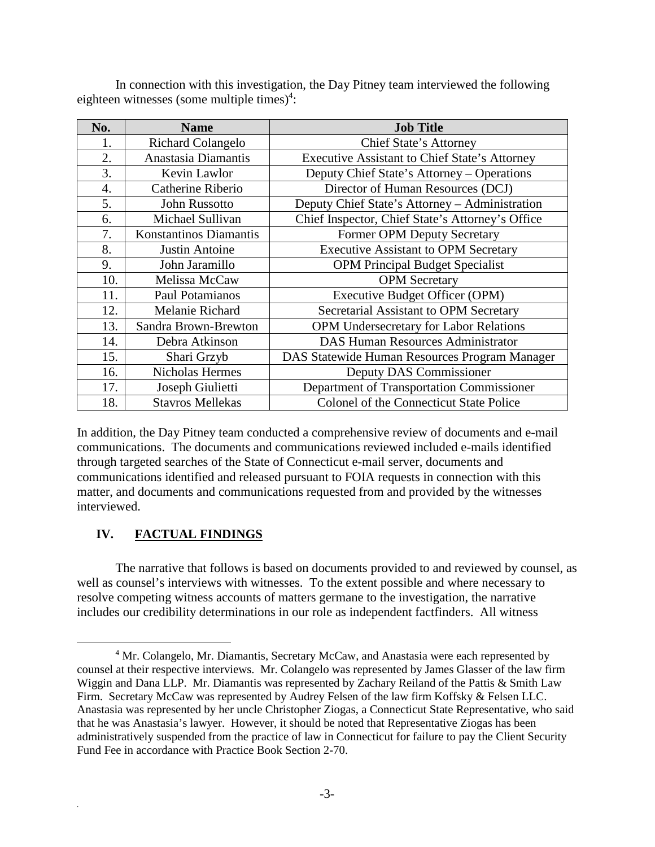In connection with this investigation, the Day Pitney team interviewed the following eighteen witnesses (some multiple times) $4$ :

| No.                     | <b>Name</b>                                                          | <b>Job Title</b>                                     |
|-------------------------|----------------------------------------------------------------------|------------------------------------------------------|
| 1.                      | <b>Richard Colangelo</b><br>Chief State's Attorney                   |                                                      |
| 2.                      | Anastasia Diamantis                                                  | <b>Executive Assistant to Chief State's Attorney</b> |
| 3.                      | Kevin Lawlor                                                         | Deputy Chief State's Attorney – Operations           |
| Catherine Riberio<br>4. |                                                                      | Director of Human Resources (DCJ)                    |
| 5.                      | Deputy Chief State's Attorney - Administration<br>John Russotto      |                                                      |
| 6.                      | Chief Inspector, Chief State's Attorney's Office<br>Michael Sullivan |                                                      |
| 7.                      | Konstantinos Diamantis<br>Former OPM Deputy Secretary                |                                                      |
| 8.<br>Justin Antoine    |                                                                      | <b>Executive Assistant to OPM Secretary</b>          |
| 9.                      | John Jaramillo<br><b>OPM Principal Budget Specialist</b>             |                                                      |
| 10.                     | Melissa McCaw                                                        | <b>OPM</b> Secretary                                 |
| 11.                     | Paul Potamianos                                                      | Executive Budget Officer (OPM)                       |
| 12.                     | Melanie Richard                                                      | Secretarial Assistant to OPM Secretary               |
| 13.                     | Sandra Brown-Brewton                                                 | <b>OPM Undersecretary for Labor Relations</b>        |
| 14.                     | Debra Atkinson                                                       | <b>DAS Human Resources Administrator</b>             |
| 15.                     | Shari Grzyb                                                          | DAS Statewide Human Resources Program Manager        |
| 16.                     | <b>Nicholas Hermes</b>                                               | Deputy DAS Commissioner                              |
| 17.                     | Joseph Giulietti                                                     | Department of Transportation Commissioner            |
| 18.                     | <b>Stavros Mellekas</b>                                              | Colonel of the Connecticut State Police              |

In addition, the Day Pitney team conducted a comprehensive review of documents and e-mail communications. The documents and communications reviewed included e-mails identified through targeted searches of the State of Connecticut e-mail server, documents and communications identified and released pursuant to FOIA requests in connection with this matter, and documents and communications requested from and provided by the witnesses interviewed.

# **IV. FACTUAL FINDINGS**

.

The narrative that follows is based on documents provided to and reviewed by counsel, as well as counsel's interviews with witnesses. To the extent possible and where necessary to resolve competing witness accounts of matters germane to the investigation, the narrative includes our credibility determinations in our role as independent factfinders. All witness

<sup>&</sup>lt;sup>4</sup> Mr. Colangelo, Mr. Diamantis, Secretary McCaw, and Anastasia were each represented by counsel at their respective interviews. Mr. Colangelo was represented by James Glasser of the law firm Wiggin and Dana LLP. Mr. Diamantis was represented by Zachary Reiland of the Pattis & Smith Law Firm. Secretary McCaw was represented by Audrey Felsen of the law firm Koffsky & Felsen LLC. Anastasia was represented by her uncle Christopher Ziogas, a Connecticut State Representative, who said that he was Anastasia's lawyer. However, it should be noted that Representative Ziogas has been administratively suspended from the practice of law in Connecticut for failure to pay the Client Security Fund Fee in accordance with Practice Book Section 2-70.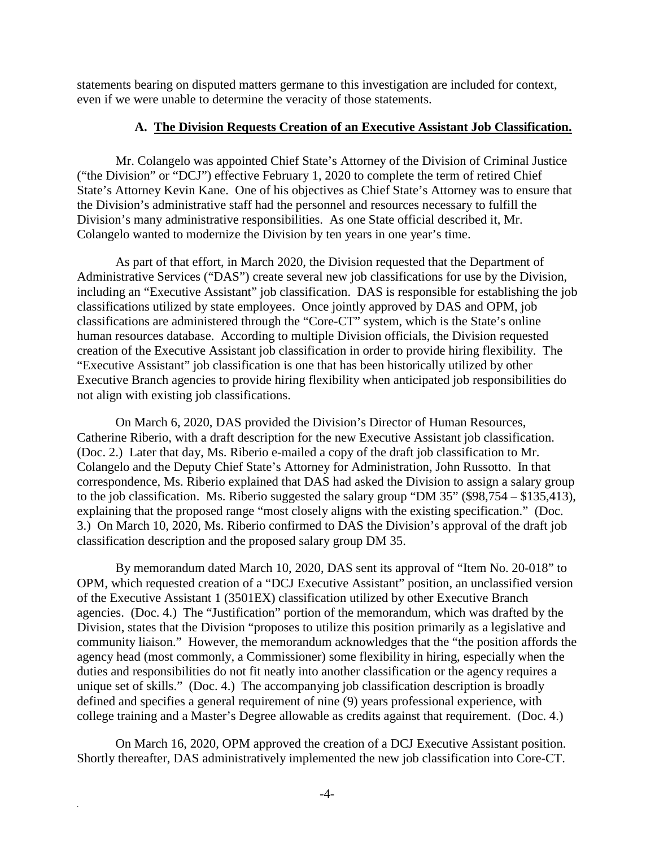statements bearing on disputed matters germane to this investigation are included for context, even if we were unable to determine the veracity of those statements.

#### **A. The Division Requests Creation of an Executive Assistant Job Classification.**

Mr. Colangelo was appointed Chief State's Attorney of the Division of Criminal Justice ("the Division" or "DCJ") effective February 1, 2020 to complete the term of retired Chief State's Attorney Kevin Kane. One of his objectives as Chief State's Attorney was to ensure that the Division's administrative staff had the personnel and resources necessary to fulfill the Division's many administrative responsibilities. As one State official described it, Mr. Colangelo wanted to modernize the Division by ten years in one year's time.

As part of that effort, in March 2020, the Division requested that the Department of Administrative Services ("DAS") create several new job classifications for use by the Division, including an "Executive Assistant" job classification. DAS is responsible for establishing the job classifications utilized by state employees. Once jointly approved by DAS and OPM, job classifications are administered through the "Core-CT" system, which is the State's online human resources database. According to multiple Division officials, the Division requested creation of the Executive Assistant job classification in order to provide hiring flexibility. The "Executive Assistant" job classification is one that has been historically utilized by other Executive Branch agencies to provide hiring flexibility when anticipated job responsibilities do not align with existing job classifications.

On March 6, 2020, DAS provided the Division's Director of Human Resources, Catherine Riberio, with a draft description for the new Executive Assistant job classification. (Doc. 2.) Later that day, Ms. Riberio e-mailed a copy of the draft job classification to Mr. Colangelo and the Deputy Chief State's Attorney for Administration, John Russotto. In that correspondence, Ms. Riberio explained that DAS had asked the Division to assign a salary group to the job classification. Ms. Riberio suggested the salary group "DM 35" (\$98,754 – \$135,413), explaining that the proposed range "most closely aligns with the existing specification." (Doc. 3.) On March 10, 2020, Ms. Riberio confirmed to DAS the Division's approval of the draft job classification description and the proposed salary group DM 35.

By memorandum dated March 10, 2020, DAS sent its approval of "Item No. 20-018" to OPM, which requested creation of a "DCJ Executive Assistant" position, an unclassified version of the Executive Assistant 1 (3501EX) classification utilized by other Executive Branch agencies. (Doc. 4.) The "Justification" portion of the memorandum, which was drafted by the Division, states that the Division "proposes to utilize this position primarily as a legislative and community liaison." However, the memorandum acknowledges that the "the position affords the agency head (most commonly, a Commissioner) some flexibility in hiring, especially when the duties and responsibilities do not fit neatly into another classification or the agency requires a unique set of skills." (Doc. 4.) The accompanying job classification description is broadly defined and specifies a general requirement of nine (9) years professional experience, with college training and a Master's Degree allowable as credits against that requirement. (Doc. 4.)

On March 16, 2020, OPM approved the creation of a DCJ Executive Assistant position. Shortly thereafter, DAS administratively implemented the new job classification into Core-CT.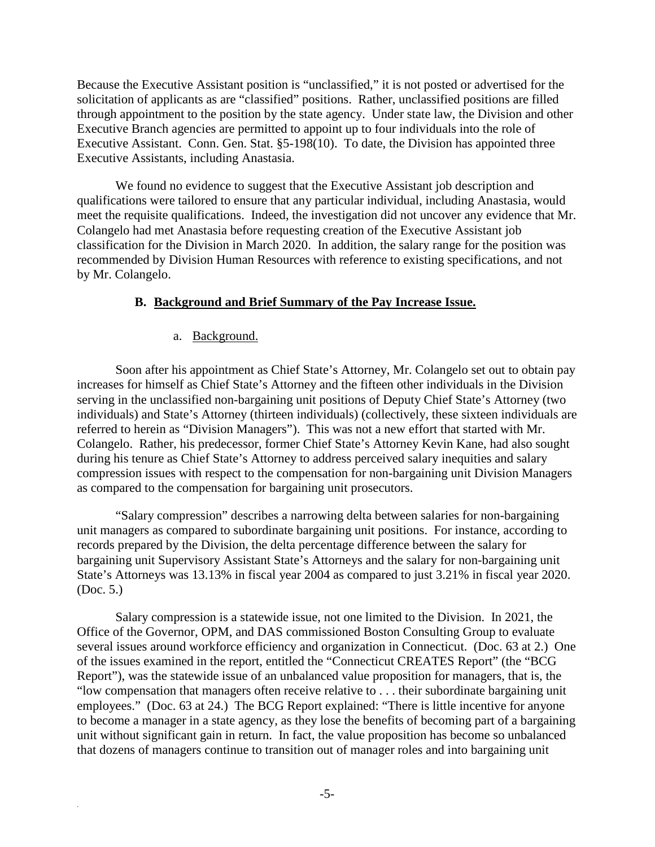Because the Executive Assistant position is "unclassified," it is not posted or advertised for the solicitation of applicants as are "classified" positions. Rather, unclassified positions are filled through appointment to the position by the state agency. Under state law, the Division and other Executive Branch agencies are permitted to appoint up to four individuals into the role of Executive Assistant. Conn. Gen. Stat. §5-198(10). To date, the Division has appointed three Executive Assistants, including Anastasia.

We found no evidence to suggest that the Executive Assistant job description and qualifications were tailored to ensure that any particular individual, including Anastasia, would meet the requisite qualifications. Indeed, the investigation did not uncover any evidence that Mr. Colangelo had met Anastasia before requesting creation of the Executive Assistant job classification for the Division in March 2020. In addition, the salary range for the position was recommended by Division Human Resources with reference to existing specifications, and not by Mr. Colangelo.

#### **B. Background and Brief Summary of the Pay Increase Issue.**

#### a. Background.

.

Soon after his appointment as Chief State's Attorney, Mr. Colangelo set out to obtain pay increases for himself as Chief State's Attorney and the fifteen other individuals in the Division serving in the unclassified non-bargaining unit positions of Deputy Chief State's Attorney (two individuals) and State's Attorney (thirteen individuals) (collectively, these sixteen individuals are referred to herein as "Division Managers"). This was not a new effort that started with Mr. Colangelo. Rather, his predecessor, former Chief State's Attorney Kevin Kane, had also sought during his tenure as Chief State's Attorney to address perceived salary inequities and salary compression issues with respect to the compensation for non-bargaining unit Division Managers as compared to the compensation for bargaining unit prosecutors.

"Salary compression" describes a narrowing delta between salaries for non-bargaining unit managers as compared to subordinate bargaining unit positions. For instance, according to records prepared by the Division, the delta percentage difference between the salary for bargaining unit Supervisory Assistant State's Attorneys and the salary for non-bargaining unit State's Attorneys was 13.13% in fiscal year 2004 as compared to just 3.21% in fiscal year 2020. (Doc. 5.)

Salary compression is a statewide issue, not one limited to the Division. In 2021, the Office of the Governor, OPM, and DAS commissioned Boston Consulting Group to evaluate several issues around workforce efficiency and organization in Connecticut. (Doc. 63 at 2.) One of the issues examined in the report, entitled the "Connecticut CREATES Report" (the "BCG Report"), was the statewide issue of an unbalanced value proposition for managers, that is, the "low compensation that managers often receive relative to . . . their subordinate bargaining unit employees." (Doc. 63 at 24.) The BCG Report explained: "There is little incentive for anyone to become a manager in a state agency, as they lose the benefits of becoming part of a bargaining unit without significant gain in return. In fact, the value proposition has become so unbalanced that dozens of managers continue to transition out of manager roles and into bargaining unit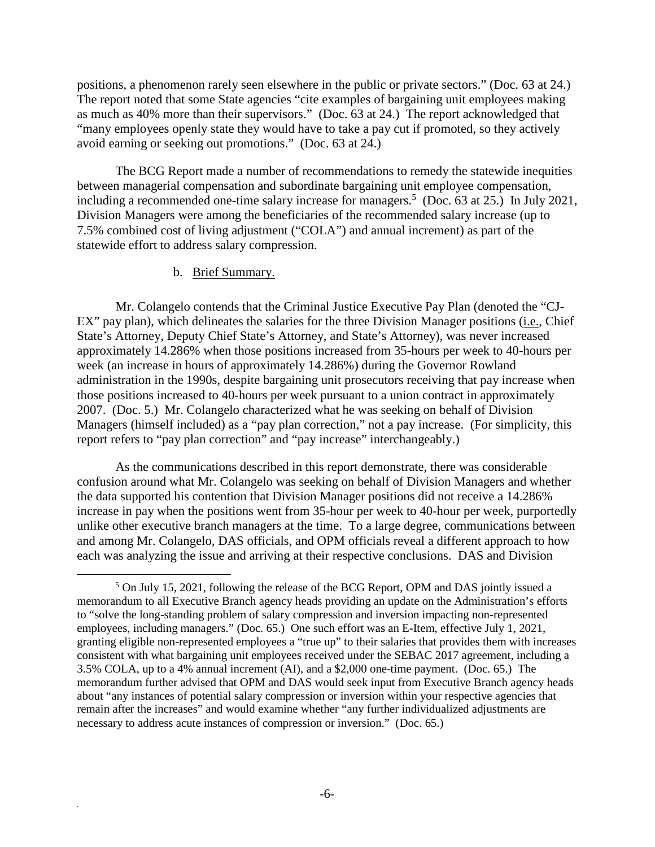positions, a phenomenon rarely seen elsewhere in the public or private sectors." (Doc. 63 at 24.) The report noted that some State agencies "cite examples of bargaining unit employees making as much as 40% more than their supervisors." (Doc. 63 at 24.) The report acknowledged that "many employees openly state they would have to take a pay cut if promoted, so they actively avoid earning or seeking out promotions." (Doc. 63 at 24.)

The BCG Report made a number of recommendations to remedy the statewide inequities between managerial compensation and subordinate bargaining unit employee compensation, including a recommended one-time salary increase for managers.<sup>5</sup> (Doc. 63 at 25.) In July 2021, Division Managers were among the beneficiaries of the recommended salary increase (up to 7.5% combined cost of living adjustment ("COLA") and annual increment) as part of the statewide effort to address salary compression.

#### b. Brief Summary.

Mr. Colangelo contends that the Criminal Justice Executive Pay Plan (denoted the "CJ-EX" pay plan), which delineates the salaries for the three Division Manager positions (i.e., Chief State's Attorney, Deputy Chief State's Attorney, and State's Attorney), was never increased approximately 14.286% when those positions increased from 35-hours per week to 40-hours per week (an increase in hours of approximately 14.286%) during the Governor Rowland administration in the 1990s, despite bargaining unit prosecutors receiving that pay increase when those positions increased to 40-hours per week pursuant to a union contract in approximately 2007. (Doc. 5.) Mr. Colangelo characterized what he was seeking on behalf of Division Managers (himself included) as a "pay plan correction," not a pay increase. (For simplicity, this report refers to "pay plan correction" and "pay increase" interchangeably.)

As the communications described in this report demonstrate, there was considerable confusion around what Mr. Colangelo was seeking on behalf of Division Managers and whether the data supported his contention that Division Manager positions did not receive a 14.286% increase in pay when the positions went from 35-hour per week to 40-hour per week, purportedly unlike other executive branch managers at the time. To a large degree, communications between and among Mr. Colangelo, DAS officials, and OPM officials reveal a different approach to how each was analyzing the issue and arriving at their respective conclusions. DAS and Division

<sup>&</sup>lt;sup>5</sup> On July 15, 2021, following the release of the BCG Report, OPM and DAS jointly issued a memorandum to all Executive Branch agency heads providing an update on the Administration's efforts to "solve the long-standing problem of salary compression and inversion impacting non-represented employees, including managers." (Doc. 65.) One such effort was an E-Item, effective July 1, 2021, granting eligible non-represented employees a "true up" to their salaries that provides them with increases consistent with what bargaining unit employees received under the SEBAC 2017 agreement, including a 3.5% COLA, up to a 4% annual increment (AI), and a \$2,000 one-time payment. (Doc. 65.) The memorandum further advised that OPM and DAS would seek input from Executive Branch agency heads about "any instances of potential salary compression or inversion within your respective agencies that remain after the increases" and would examine whether "any further individualized adjustments are necessary to address acute instances of compression or inversion." (Doc. 65.)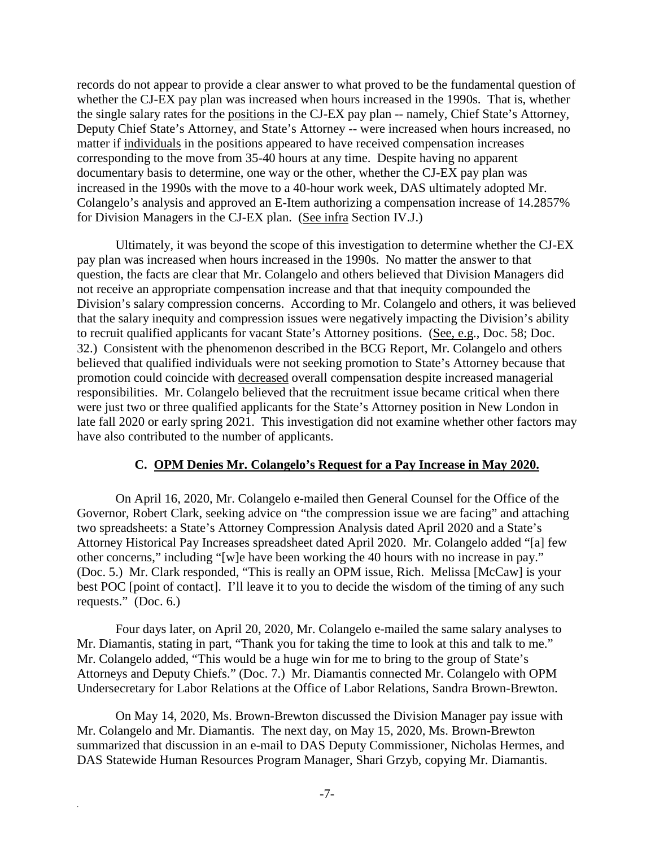records do not appear to provide a clear answer to what proved to be the fundamental question of whether the CJ-EX pay plan was increased when hours increased in the 1990s. That is, whether the single salary rates for the positions in the CJ-EX pay plan -- namely, Chief State's Attorney, Deputy Chief State's Attorney, and State's Attorney -- were increased when hours increased, no matter if individuals in the positions appeared to have received compensation increases corresponding to the move from 35-40 hours at any time. Despite having no apparent documentary basis to determine, one way or the other, whether the CJ-EX pay plan was increased in the 1990s with the move to a 40-hour work week, DAS ultimately adopted Mr. Colangelo's analysis and approved an E-Item authorizing a compensation increase of 14.2857% for Division Managers in the CJ-EX plan. (See infra Section IV.J.)

Ultimately, it was beyond the scope of this investigation to determine whether the CJ-EX pay plan was increased when hours increased in the 1990s. No matter the answer to that question, the facts are clear that Mr. Colangelo and others believed that Division Managers did not receive an appropriate compensation increase and that that inequity compounded the Division's salary compression concerns. According to Mr. Colangelo and others, it was believed that the salary inequity and compression issues were negatively impacting the Division's ability to recruit qualified applicants for vacant State's Attorney positions. (See, e.g., Doc. 58; Doc. 32.) Consistent with the phenomenon described in the BCG Report, Mr. Colangelo and others believed that qualified individuals were not seeking promotion to State's Attorney because that promotion could coincide with decreased overall compensation despite increased managerial responsibilities. Mr. Colangelo believed that the recruitment issue became critical when there were just two or three qualified applicants for the State's Attorney position in New London in late fall 2020 or early spring 2021. This investigation did not examine whether other factors may have also contributed to the number of applicants.

#### **C. OPM Denies Mr. Colangelo's Request for a Pay Increase in May 2020.**

On April 16, 2020, Mr. Colangelo e-mailed then General Counsel for the Office of the Governor, Robert Clark, seeking advice on "the compression issue we are facing" and attaching two spreadsheets: a State's Attorney Compression Analysis dated April 2020 and a State's Attorney Historical Pay Increases spreadsheet dated April 2020. Mr. Colangelo added "[a] few other concerns," including "[w]e have been working the 40 hours with no increase in pay." (Doc. 5.) Mr. Clark responded, "This is really an OPM issue, Rich. Melissa [McCaw] is your best POC [point of contact]. I'll leave it to you to decide the wisdom of the timing of any such requests." (Doc. 6.)

Four days later, on April 20, 2020, Mr. Colangelo e-mailed the same salary analyses to Mr. Diamantis, stating in part, "Thank you for taking the time to look at this and talk to me." Mr. Colangelo added, "This would be a huge win for me to bring to the group of State's Attorneys and Deputy Chiefs." (Doc. 7.) Mr. Diamantis connected Mr. Colangelo with OPM Undersecretary for Labor Relations at the Office of Labor Relations, Sandra Brown-Brewton.

On May 14, 2020, Ms. Brown-Brewton discussed the Division Manager pay issue with Mr. Colangelo and Mr. Diamantis. The next day, on May 15, 2020, Ms. Brown-Brewton summarized that discussion in an e-mail to DAS Deputy Commissioner, Nicholas Hermes, and DAS Statewide Human Resources Program Manager, Shari Grzyb, copying Mr. Diamantis.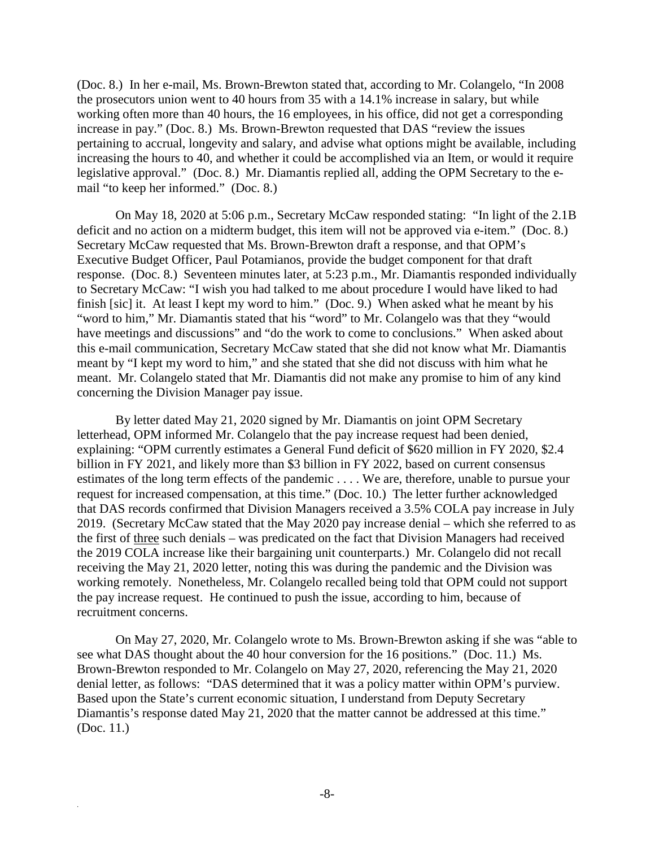(Doc. 8.) In her e-mail, Ms. Brown-Brewton stated that, according to Mr. Colangelo, "In 2008 the prosecutors union went to 40 hours from 35 with a 14.1% increase in salary, but while working often more than 40 hours, the 16 employees, in his office, did not get a corresponding increase in pay." (Doc. 8.) Ms. Brown-Brewton requested that DAS "review the issues pertaining to accrual, longevity and salary, and advise what options might be available, including increasing the hours to 40, and whether it could be accomplished via an Item, or would it require legislative approval." (Doc. 8.) Mr. Diamantis replied all, adding the OPM Secretary to the email "to keep her informed." (Doc. 8.)

On May 18, 2020 at 5:06 p.m., Secretary McCaw responded stating: "In light of the 2.1B deficit and no action on a midterm budget, this item will not be approved via e-item." (Doc. 8.) Secretary McCaw requested that Ms. Brown-Brewton draft a response, and that OPM's Executive Budget Officer, Paul Potamianos, provide the budget component for that draft response. (Doc. 8.) Seventeen minutes later, at 5:23 p.m., Mr. Diamantis responded individually to Secretary McCaw: "I wish you had talked to me about procedure I would have liked to had finish [sic] it. At least I kept my word to him." (Doc. 9.) When asked what he meant by his "word to him," Mr. Diamantis stated that his "word" to Mr. Colangelo was that they "would have meetings and discussions" and "do the work to come to conclusions." When asked about this e-mail communication, Secretary McCaw stated that she did not know what Mr. Diamantis meant by "I kept my word to him," and she stated that she did not discuss with him what he meant. Mr. Colangelo stated that Mr. Diamantis did not make any promise to him of any kind concerning the Division Manager pay issue.

By letter dated May 21, 2020 signed by Mr. Diamantis on joint OPM Secretary letterhead, OPM informed Mr. Colangelo that the pay increase request had been denied, explaining: "OPM currently estimates a General Fund deficit of \$620 million in FY 2020, \$2.4 billion in FY 2021, and likely more than \$3 billion in FY 2022, based on current consensus estimates of the long term effects of the pandemic . . . . We are, therefore, unable to pursue your request for increased compensation, at this time." (Doc. 10.) The letter further acknowledged that DAS records confirmed that Division Managers received a 3.5% COLA pay increase in July 2019. (Secretary McCaw stated that the May 2020 pay increase denial – which she referred to as the first of three such denials – was predicated on the fact that Division Managers had received the 2019 COLA increase like their bargaining unit counterparts.) Mr. Colangelo did not recall receiving the May 21, 2020 letter, noting this was during the pandemic and the Division was working remotely. Nonetheless, Mr. Colangelo recalled being told that OPM could not support the pay increase request. He continued to push the issue, according to him, because of recruitment concerns.

On May 27, 2020, Mr. Colangelo wrote to Ms. Brown-Brewton asking if she was "able to see what DAS thought about the 40 hour conversion for the 16 positions." (Doc. 11.) Ms. Brown-Brewton responded to Mr. Colangelo on May 27, 2020, referencing the May 21, 2020 denial letter, as follows: "DAS determined that it was a policy matter within OPM's purview. Based upon the State's current economic situation, I understand from Deputy Secretary Diamantis's response dated May 21, 2020 that the matter cannot be addressed at this time." (Doc. 11.)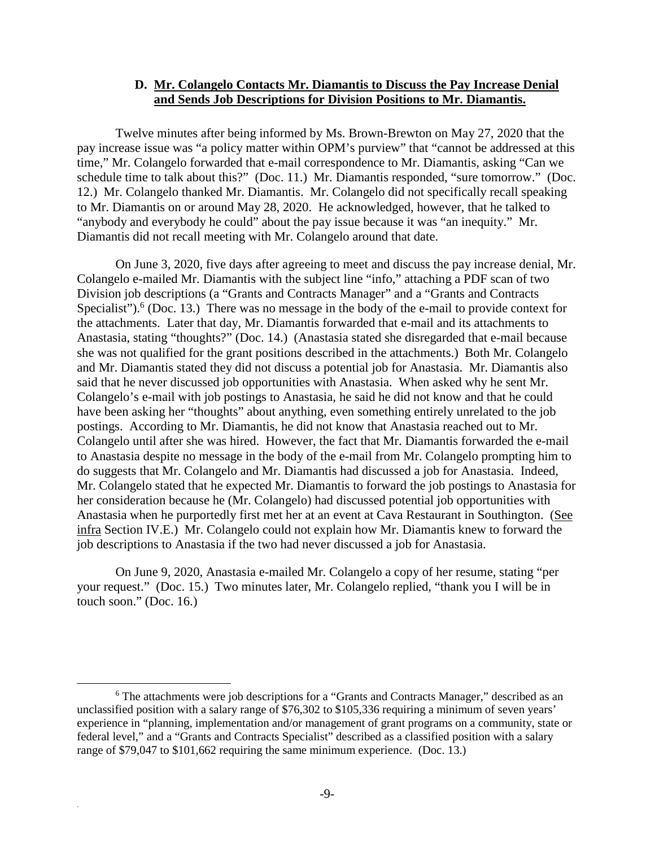#### **D. Mr. Colangelo Contacts Mr. Diamantis to Discuss the Pay Increase Denial and Sends Job Descriptions for Division Positions to Mr. Diamantis.**

Twelve minutes after being informed by Ms. Brown-Brewton on May 27, 2020 that the pay increase issue was "a policy matter within OPM's purview" that "cannot be addressed at this time," Mr. Colangelo forwarded that e-mail correspondence to Mr. Diamantis, asking "Can we schedule time to talk about this?" (Doc. 11.) Mr. Diamantis responded, "sure tomorrow." (Doc. 12.) Mr. Colangelo thanked Mr. Diamantis. Mr. Colangelo did not specifically recall speaking to Mr. Diamantis on or around May 28, 2020. He acknowledged, however, that he talked to "anybody and everybody he could" about the pay issue because it was "an inequity." Mr. Diamantis did not recall meeting with Mr. Colangelo around that date.

On June 3, 2020, five days after agreeing to meet and discuss the pay increase denial, Mr. Colangelo e-mailed Mr. Diamantis with the subject line "info," attaching a PDF scan of two Division job descriptions (a "Grants and Contracts Manager" and a "Grants and Contracts Specialist").  $6$  (Doc. 13.) There was no message in the body of the e-mail to provide context for the attachments. Later that day, Mr. Diamantis forwarded that e-mail and its attachments to Anastasia, stating "thoughts?" (Doc. 14.) (Anastasia stated she disregarded that e-mail because she was not qualified for the grant positions described in the attachments.) Both Mr. Colangelo and Mr. Diamantis stated they did not discuss a potential job for Anastasia. Mr. Diamantis also said that he never discussed job opportunities with Anastasia. When asked why he sent Mr. Colangelo's e-mail with job postings to Anastasia, he said he did not know and that he could have been asking her "thoughts" about anything, even something entirely unrelated to the job postings. According to Mr. Diamantis, he did not know that Anastasia reached out to Mr. Colangelo until after she was hired. However, the fact that Mr. Diamantis forwarded the e-mail to Anastasia despite no message in the body of the e-mail from Mr. Colangelo prompting him to do suggests that Mr. Colangelo and Mr. Diamantis had discussed a job for Anastasia. Indeed, Mr. Colangelo stated that he expected Mr. Diamantis to forward the job postings to Anastasia for her consideration because he (Mr. Colangelo) had discussed potential job opportunities with Anastasia when he purportedly first met her at an event at Cava Restaurant in Southington. (See infra Section IV.E.) Mr. Colangelo could not explain how Mr. Diamantis knew to forward the job descriptions to Anastasia if the two had never discussed a job for Anastasia.

On June 9, 2020, Anastasia e-mailed Mr. Colangelo a copy of her resume, stating "per your request." (Doc. 15.) Two minutes later, Mr. Colangelo replied, "thank you I will be in touch soon." (Doc. 16.)

<sup>&</sup>lt;sup>6</sup> The attachments were job descriptions for a "Grants and Contracts Manager," described as an unclassified position with a salary range of \$76,302 to \$105,336 requiring a minimum of seven years' experience in "planning, implementation and/or management of grant programs on a community, state or federal level," and a "Grants and Contracts Specialist" described as a classified position with a salary range of \$79,047 to \$101,662 requiring the same minimum experience. (Doc. 13.)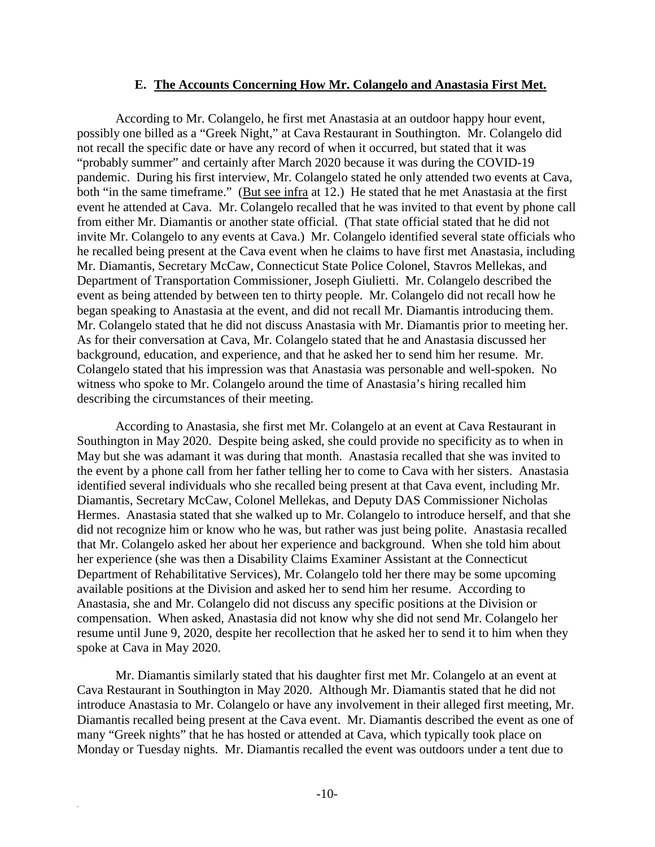#### **E. The Accounts Concerning How Mr. Colangelo and Anastasia First Met.**

According to Mr. Colangelo, he first met Anastasia at an outdoor happy hour event, possibly one billed as a "Greek Night," at Cava Restaurant in Southington. Mr. Colangelo did not recall the specific date or have any record of when it occurred, but stated that it was "probably summer" and certainly after March 2020 because it was during the COVID-19 pandemic. During his first interview, Mr. Colangelo stated he only attended two events at Cava, both "in the same timeframe." (But see infra at 12.) He stated that he met Anastasia at the first event he attended at Cava. Mr. Colangelo recalled that he was invited to that event by phone call from either Mr. Diamantis or another state official. (That state official stated that he did not invite Mr. Colangelo to any events at Cava.) Mr. Colangelo identified several state officials who he recalled being present at the Cava event when he claims to have first met Anastasia, including Mr. Diamantis, Secretary McCaw, Connecticut State Police Colonel, Stavros Mellekas, and Department of Transportation Commissioner, Joseph Giulietti. Mr. Colangelo described the event as being attended by between ten to thirty people. Mr. Colangelo did not recall how he began speaking to Anastasia at the event, and did not recall Mr. Diamantis introducing them. Mr. Colangelo stated that he did not discuss Anastasia with Mr. Diamantis prior to meeting her. As for their conversation at Cava, Mr. Colangelo stated that he and Anastasia discussed her background, education, and experience, and that he asked her to send him her resume. Mr. Colangelo stated that his impression was that Anastasia was personable and well-spoken. No witness who spoke to Mr. Colangelo around the time of Anastasia's hiring recalled him describing the circumstances of their meeting.

According to Anastasia, she first met Mr. Colangelo at an event at Cava Restaurant in Southington in May 2020. Despite being asked, she could provide no specificity as to when in May but she was adamant it was during that month. Anastasia recalled that she was invited to the event by a phone call from her father telling her to come to Cava with her sisters. Anastasia identified several individuals who she recalled being present at that Cava event, including Mr. Diamantis, Secretary McCaw, Colonel Mellekas, and Deputy DAS Commissioner Nicholas Hermes. Anastasia stated that she walked up to Mr. Colangelo to introduce herself, and that she did not recognize him or know who he was, but rather was just being polite. Anastasia recalled that Mr. Colangelo asked her about her experience and background. When she told him about her experience (she was then a Disability Claims Examiner Assistant at the Connecticut Department of Rehabilitative Services), Mr. Colangelo told her there may be some upcoming available positions at the Division and asked her to send him her resume. According to Anastasia, she and Mr. Colangelo did not discuss any specific positions at the Division or compensation. When asked, Anastasia did not know why she did not send Mr. Colangelo her resume until June 9, 2020, despite her recollection that he asked her to send it to him when they spoke at Cava in May 2020.

Mr. Diamantis similarly stated that his daughter first met Mr. Colangelo at an event at Cava Restaurant in Southington in May 2020. Although Mr. Diamantis stated that he did not introduce Anastasia to Mr. Colangelo or have any involvement in their alleged first meeting, Mr. Diamantis recalled being present at the Cava event. Mr. Diamantis described the event as one of many "Greek nights" that he has hosted or attended at Cava, which typically took place on Monday or Tuesday nights. Mr. Diamantis recalled the event was outdoors under a tent due to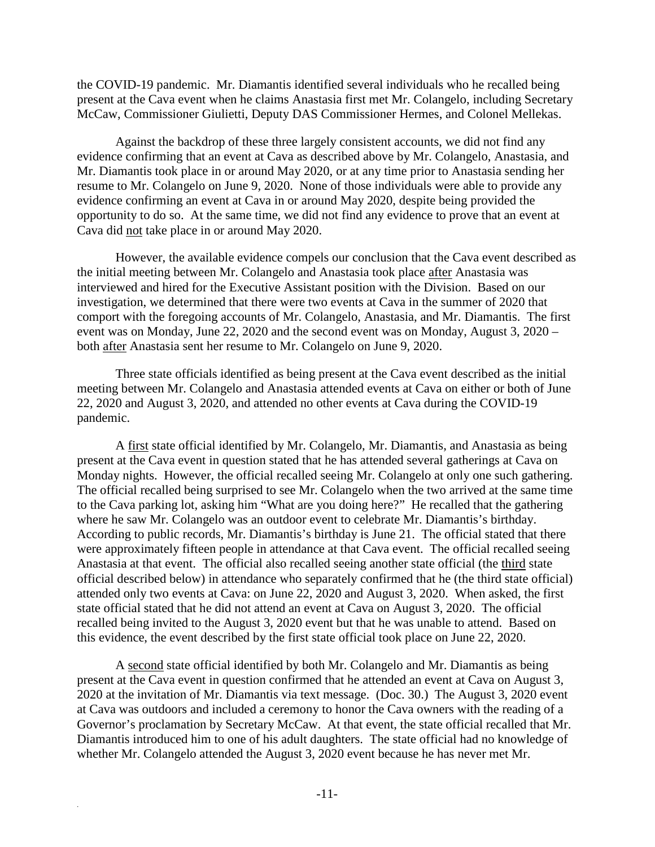the COVID-19 pandemic. Mr. Diamantis identified several individuals who he recalled being present at the Cava event when he claims Anastasia first met Mr. Colangelo, including Secretary McCaw, Commissioner Giulietti, Deputy DAS Commissioner Hermes, and Colonel Mellekas.

Against the backdrop of these three largely consistent accounts, we did not find any evidence confirming that an event at Cava as described above by Mr. Colangelo, Anastasia, and Mr. Diamantis took place in or around May 2020, or at any time prior to Anastasia sending her resume to Mr. Colangelo on June 9, 2020. None of those individuals were able to provide any evidence confirming an event at Cava in or around May 2020, despite being provided the opportunity to do so. At the same time, we did not find any evidence to prove that an event at Cava did not take place in or around May 2020.

However, the available evidence compels our conclusion that the Cava event described as the initial meeting between Mr. Colangelo and Anastasia took place after Anastasia was interviewed and hired for the Executive Assistant position with the Division. Based on our investigation, we determined that there were two events at Cava in the summer of 2020 that comport with the foregoing accounts of Mr. Colangelo, Anastasia, and Mr. Diamantis. The first event was on Monday, June 22, 2020 and the second event was on Monday, August 3, 2020 – both after Anastasia sent her resume to Mr. Colangelo on June 9, 2020.

Three state officials identified as being present at the Cava event described as the initial meeting between Mr. Colangelo and Anastasia attended events at Cava on either or both of June 22, 2020 and August 3, 2020, and attended no other events at Cava during the COVID-19 pandemic.

A first state official identified by Mr. Colangelo, Mr. Diamantis, and Anastasia as being present at the Cava event in question stated that he has attended several gatherings at Cava on Monday nights. However, the official recalled seeing Mr. Colangelo at only one such gathering. The official recalled being surprised to see Mr. Colangelo when the two arrived at the same time to the Cava parking lot, asking him "What are you doing here?" He recalled that the gathering where he saw Mr. Colangelo was an outdoor event to celebrate Mr. Diamantis's birthday. According to public records, Mr. Diamantis's birthday is June 21. The official stated that there were approximately fifteen people in attendance at that Cava event. The official recalled seeing Anastasia at that event. The official also recalled seeing another state official (the third state official described below) in attendance who separately confirmed that he (the third state official) attended only two events at Cava: on June 22, 2020 and August 3, 2020. When asked, the first state official stated that he did not attend an event at Cava on August 3, 2020. The official recalled being invited to the August 3, 2020 event but that he was unable to attend. Based on this evidence, the event described by the first state official took place on June 22, 2020.

A second state official identified by both Mr. Colangelo and Mr. Diamantis as being present at the Cava event in question confirmed that he attended an event at Cava on August 3, 2020 at the invitation of Mr. Diamantis via text message. (Doc. 30.) The August 3, 2020 event at Cava was outdoors and included a ceremony to honor the Cava owners with the reading of a Governor's proclamation by Secretary McCaw. At that event, the state official recalled that Mr. Diamantis introduced him to one of his adult daughters. The state official had no knowledge of whether Mr. Colangelo attended the August 3, 2020 event because he has never met Mr.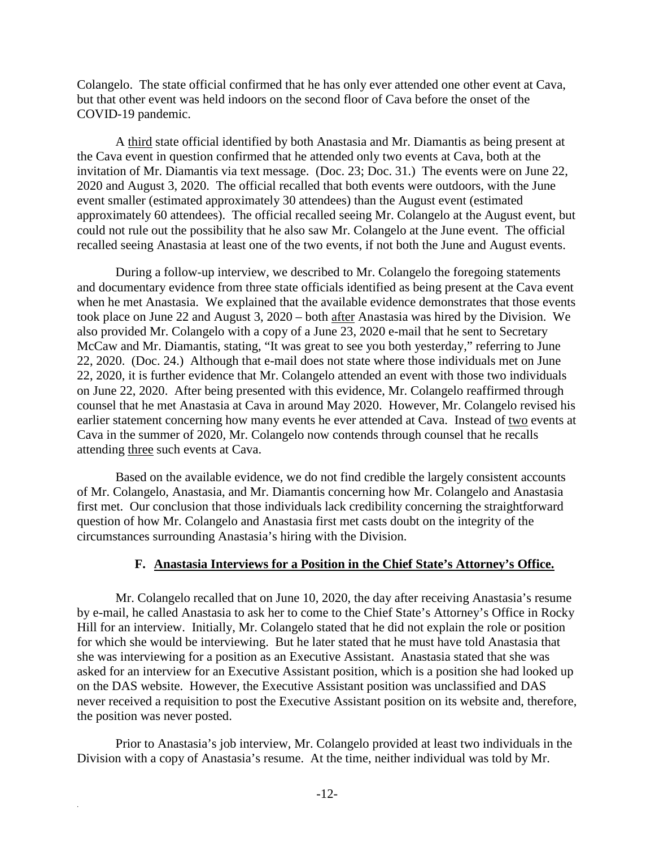Colangelo. The state official confirmed that he has only ever attended one other event at Cava, but that other event was held indoors on the second floor of Cava before the onset of the COVID-19 pandemic.

A third state official identified by both Anastasia and Mr. Diamantis as being present at the Cava event in question confirmed that he attended only two events at Cava, both at the invitation of Mr. Diamantis via text message. (Doc. 23; Doc. 31.) The events were on June 22, 2020 and August 3, 2020. The official recalled that both events were outdoors, with the June event smaller (estimated approximately 30 attendees) than the August event (estimated approximately 60 attendees). The official recalled seeing Mr. Colangelo at the August event, but could not rule out the possibility that he also saw Mr. Colangelo at the June event. The official recalled seeing Anastasia at least one of the two events, if not both the June and August events.

During a follow-up interview, we described to Mr. Colangelo the foregoing statements and documentary evidence from three state officials identified as being present at the Cava event when he met Anastasia. We explained that the available evidence demonstrates that those events took place on June 22 and August 3, 2020 – both after Anastasia was hired by the Division. We also provided Mr. Colangelo with a copy of a June 23, 2020 e-mail that he sent to Secretary McCaw and Mr. Diamantis, stating, "It was great to see you both yesterday," referring to June 22, 2020. (Doc. 24.) Although that e-mail does not state where those individuals met on June 22, 2020, it is further evidence that Mr. Colangelo attended an event with those two individuals on June 22, 2020. After being presented with this evidence, Mr. Colangelo reaffirmed through counsel that he met Anastasia at Cava in around May 2020. However, Mr. Colangelo revised his earlier statement concerning how many events he ever attended at Cava. Instead of two events at Cava in the summer of 2020, Mr. Colangelo now contends through counsel that he recalls attending three such events at Cava.

Based on the available evidence, we do not find credible the largely consistent accounts of Mr. Colangelo, Anastasia, and Mr. Diamantis concerning how Mr. Colangelo and Anastasia first met. Our conclusion that those individuals lack credibility concerning the straightforward question of how Mr. Colangelo and Anastasia first met casts doubt on the integrity of the circumstances surrounding Anastasia's hiring with the Division.

#### **F. Anastasia Interviews for a Position in the Chief State's Attorney's Office.**

Mr. Colangelo recalled that on June 10, 2020, the day after receiving Anastasia's resume by e-mail, he called Anastasia to ask her to come to the Chief State's Attorney's Office in Rocky Hill for an interview. Initially, Mr. Colangelo stated that he did not explain the role or position for which she would be interviewing. But he later stated that he must have told Anastasia that she was interviewing for a position as an Executive Assistant. Anastasia stated that she was asked for an interview for an Executive Assistant position, which is a position she had looked up on the DAS website. However, the Executive Assistant position was unclassified and DAS never received a requisition to post the Executive Assistant position on its website and, therefore, the position was never posted.

Prior to Anastasia's job interview, Mr. Colangelo provided at least two individuals in the Division with a copy of Anastasia's resume. At the time, neither individual was told by Mr.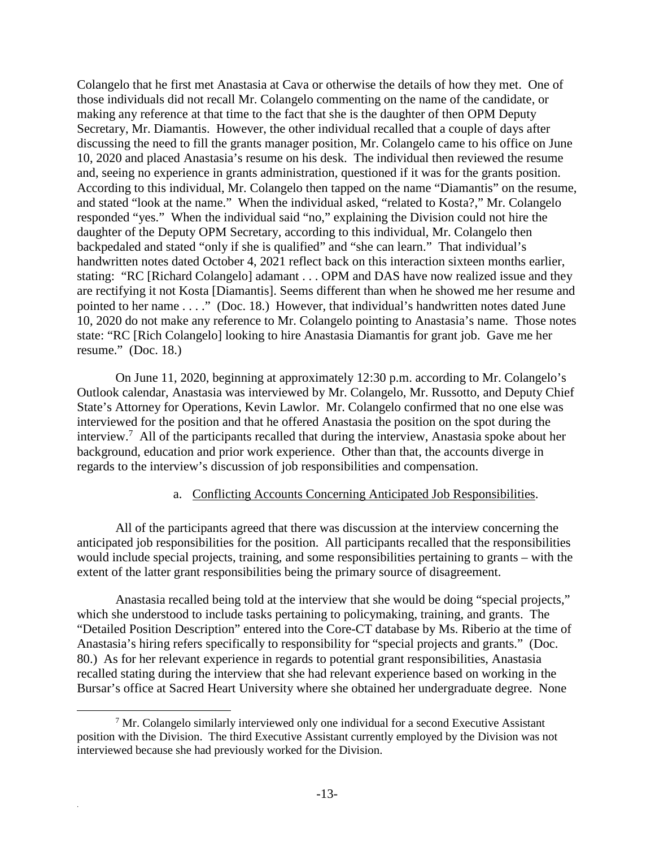Colangelo that he first met Anastasia at Cava or otherwise the details of how they met. One of those individuals did not recall Mr. Colangelo commenting on the name of the candidate, or making any reference at that time to the fact that she is the daughter of then OPM Deputy Secretary, Mr. Diamantis. However, the other individual recalled that a couple of days after discussing the need to fill the grants manager position, Mr. Colangelo came to his office on June 10, 2020 and placed Anastasia's resume on his desk. The individual then reviewed the resume and, seeing no experience in grants administration, questioned if it was for the grants position. According to this individual, Mr. Colangelo then tapped on the name "Diamantis" on the resume, and stated "look at the name." When the individual asked, "related to Kosta?," Mr. Colangelo responded "yes." When the individual said "no," explaining the Division could not hire the daughter of the Deputy OPM Secretary, according to this individual, Mr. Colangelo then backpedaled and stated "only if she is qualified" and "she can learn." That individual's handwritten notes dated October 4, 2021 reflect back on this interaction sixteen months earlier, stating: "RC [Richard Colangelo] adamant . . . OPM and DAS have now realized issue and they are rectifying it not Kosta [Diamantis]. Seems different than when he showed me her resume and pointed to her name . . . ." (Doc. 18.) However, that individual's handwritten notes dated June 10, 2020 do not make any reference to Mr. Colangelo pointing to Anastasia's name. Those notes state: "RC [Rich Colangelo] looking to hire Anastasia Diamantis for grant job. Gave me her resume." (Doc. 18.)

On June 11, 2020, beginning at approximately 12:30 p.m. according to Mr. Colangelo's Outlook calendar, Anastasia was interviewed by Mr. Colangelo, Mr. Russotto, and Deputy Chief State's Attorney for Operations, Kevin Lawlor. Mr. Colangelo confirmed that no one else was interviewed for the position and that he offered Anastasia the position on the spot during the interview.<sup>7</sup> All of the participants recalled that during the interview, Anastasia spoke about her background, education and prior work experience. Other than that, the accounts diverge in regards to the interview's discussion of job responsibilities and compensation.

#### a. Conflicting Accounts Concerning Anticipated Job Responsibilities.

All of the participants agreed that there was discussion at the interview concerning the anticipated job responsibilities for the position. All participants recalled that the responsibilities would include special projects, training, and some responsibilities pertaining to grants – with the extent of the latter grant responsibilities being the primary source of disagreement.

Anastasia recalled being told at the interview that she would be doing "special projects," which she understood to include tasks pertaining to policymaking, training, and grants. The "Detailed Position Description" entered into the Core-CT database by Ms. Riberio at the time of Anastasia's hiring refers specifically to responsibility for "special projects and grants." (Doc. 80.) As for her relevant experience in regards to potential grant responsibilities, Anastasia recalled stating during the interview that she had relevant experience based on working in the Bursar's office at Sacred Heart University where she obtained her undergraduate degree. None

<sup>&</sup>lt;sup>7</sup> Mr. Colangelo similarly interviewed only one individual for a second Executive Assistant position with the Division. The third Executive Assistant currently employed by the Division was not interviewed because she had previously worked for the Division.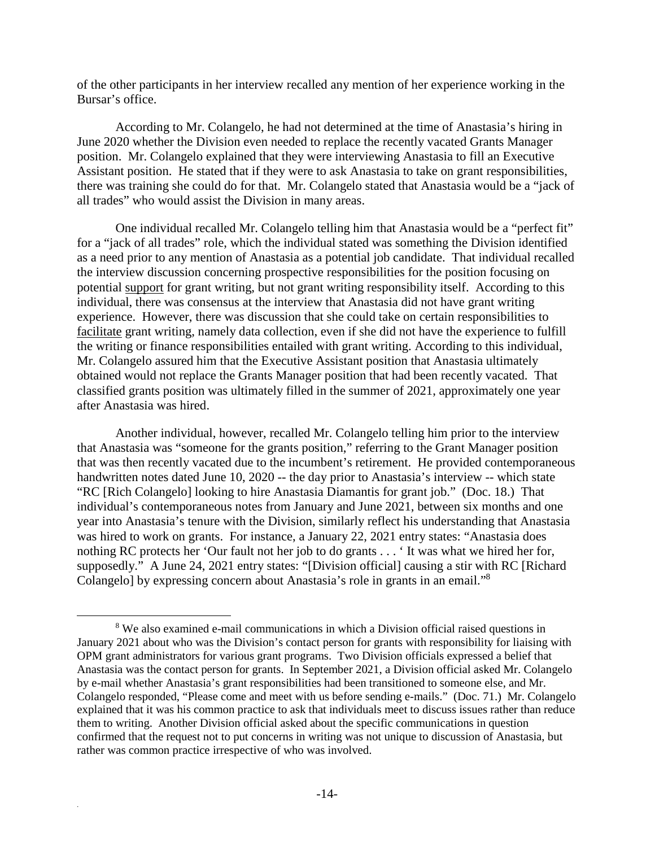of the other participants in her interview recalled any mention of her experience working in the Bursar's office.

According to Mr. Colangelo, he had not determined at the time of Anastasia's hiring in June 2020 whether the Division even needed to replace the recently vacated Grants Manager position. Mr. Colangelo explained that they were interviewing Anastasia to fill an Executive Assistant position. He stated that if they were to ask Anastasia to take on grant responsibilities, there was training she could do for that. Mr. Colangelo stated that Anastasia would be a "jack of all trades" who would assist the Division in many areas.

One individual recalled Mr. Colangelo telling him that Anastasia would be a "perfect fit" for a "jack of all trades" role, which the individual stated was something the Division identified as a need prior to any mention of Anastasia as a potential job candidate. That individual recalled the interview discussion concerning prospective responsibilities for the position focusing on potential support for grant writing, but not grant writing responsibility itself. According to this individual, there was consensus at the interview that Anastasia did not have grant writing experience. However, there was discussion that she could take on certain responsibilities to facilitate grant writing, namely data collection, even if she did not have the experience to fulfill the writing or finance responsibilities entailed with grant writing. According to this individual, Mr. Colangelo assured him that the Executive Assistant position that Anastasia ultimately obtained would not replace the Grants Manager position that had been recently vacated. That classified grants position was ultimately filled in the summer of 2021, approximately one year after Anastasia was hired.

Another individual, however, recalled Mr. Colangelo telling him prior to the interview that Anastasia was "someone for the grants position," referring to the Grant Manager position that was then recently vacated due to the incumbent's retirement. He provided contemporaneous handwritten notes dated June 10, 2020 -- the day prior to Anastasia's interview -- which state "RC [Rich Colangelo] looking to hire Anastasia Diamantis for grant job." (Doc. 18.) That individual's contemporaneous notes from January and June 2021, between six months and one year into Anastasia's tenure with the Division, similarly reflect his understanding that Anastasia was hired to work on grants. For instance, a January 22, 2021 entry states: "Anastasia does nothing RC protects her 'Our fault not her job to do grants . . . ' It was what we hired her for, supposedly." A June 24, 2021 entry states: "[Division official] causing a stir with RC [Richard Colangelo] by expressing concern about Anastasia's role in grants in an email."<sup>8</sup>

<sup>&</sup>lt;sup>8</sup> We also examined e-mail communications in which a Division official raised questions in January 2021 about who was the Division's contact person for grants with responsibility for liaising with OPM grant administrators for various grant programs. Two Division officials expressed a belief that Anastasia was the contact person for grants. In September 2021, a Division official asked Mr. Colangelo by e-mail whether Anastasia's grant responsibilities had been transitioned to someone else, and Mr. Colangelo responded, "Please come and meet with us before sending e-mails." (Doc. 71.) Mr. Colangelo explained that it was his common practice to ask that individuals meet to discuss issues rather than reduce them to writing. Another Division official asked about the specific communications in question confirmed that the request not to put concerns in writing was not unique to discussion of Anastasia, but rather was common practice irrespective of who was involved.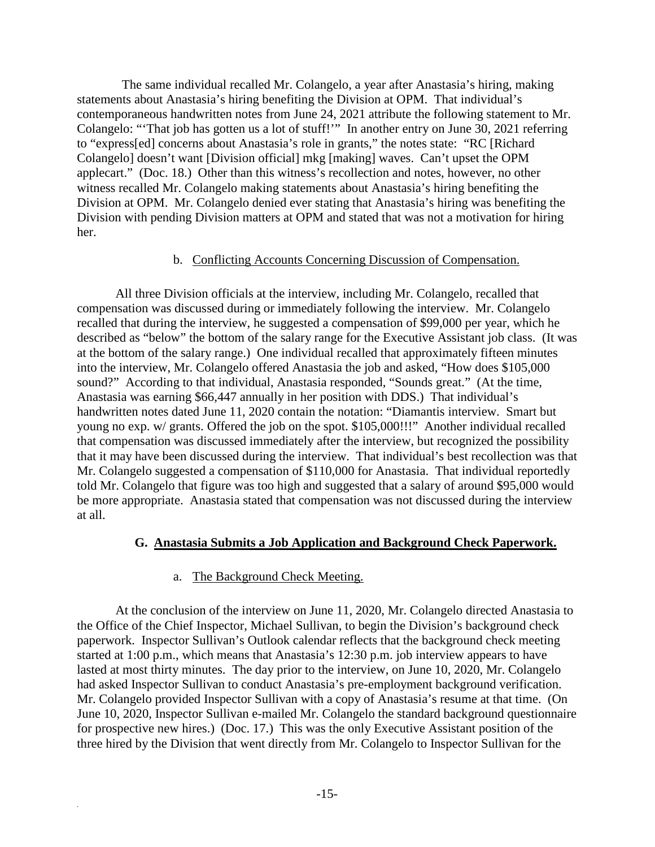The same individual recalled Mr. Colangelo, a year after Anastasia's hiring, making statements about Anastasia's hiring benefiting the Division at OPM. That individual's contemporaneous handwritten notes from June 24, 2021 attribute the following statement to Mr. Colangelo: "'That job has gotten us a lot of stuff!'" In another entry on June 30, 2021 referring to "express[ed] concerns about Anastasia's role in grants," the notes state: "RC [Richard Colangelo] doesn't want [Division official] mkg [making] waves. Can't upset the OPM applecart." (Doc. 18.) Other than this witness's recollection and notes, however, no other witness recalled Mr. Colangelo making statements about Anastasia's hiring benefiting the Division at OPM. Mr. Colangelo denied ever stating that Anastasia's hiring was benefiting the Division with pending Division matters at OPM and stated that was not a motivation for hiring her.

#### b. Conflicting Accounts Concerning Discussion of Compensation.

All three Division officials at the interview, including Mr. Colangelo, recalled that compensation was discussed during or immediately following the interview. Mr. Colangelo recalled that during the interview, he suggested a compensation of \$99,000 per year, which he described as "below" the bottom of the salary range for the Executive Assistant job class. (It was at the bottom of the salary range.) One individual recalled that approximately fifteen minutes into the interview, Mr. Colangelo offered Anastasia the job and asked, "How does \$105,000 sound?" According to that individual, Anastasia responded, "Sounds great." (At the time, Anastasia was earning \$66,447 annually in her position with DDS.) That individual's handwritten notes dated June 11, 2020 contain the notation: "Diamantis interview. Smart but young no exp. w/ grants. Offered the job on the spot. \$105,000!!!" Another individual recalled that compensation was discussed immediately after the interview, but recognized the possibility that it may have been discussed during the interview. That individual's best recollection was that Mr. Colangelo suggested a compensation of \$110,000 for Anastasia. That individual reportedly told Mr. Colangelo that figure was too high and suggested that a salary of around \$95,000 would be more appropriate. Anastasia stated that compensation was not discussed during the interview at all.

#### **G. Anastasia Submits a Job Application and Background Check Paperwork.**

#### a. The Background Check Meeting.

.

At the conclusion of the interview on June 11, 2020, Mr. Colangelo directed Anastasia to the Office of the Chief Inspector, Michael Sullivan, to begin the Division's background check paperwork. Inspector Sullivan's Outlook calendar reflects that the background check meeting started at 1:00 p.m., which means that Anastasia's 12:30 p.m. job interview appears to have lasted at most thirty minutes. The day prior to the interview, on June 10, 2020, Mr. Colangelo had asked Inspector Sullivan to conduct Anastasia's pre-employment background verification. Mr. Colangelo provided Inspector Sullivan with a copy of Anastasia's resume at that time. (On June 10, 2020, Inspector Sullivan e-mailed Mr. Colangelo the standard background questionnaire for prospective new hires.) (Doc. 17.) This was the only Executive Assistant position of the three hired by the Division that went directly from Mr. Colangelo to Inspector Sullivan for the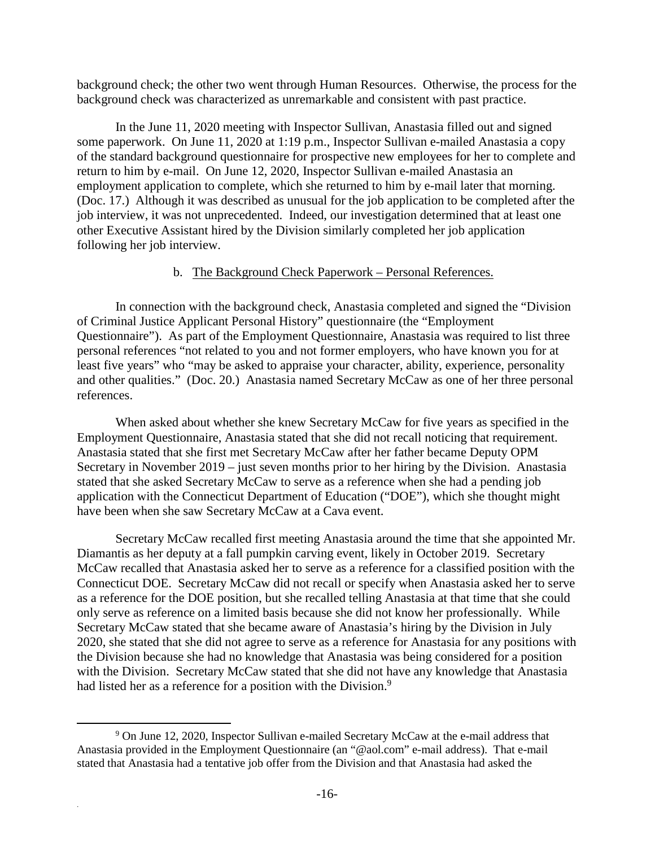background check; the other two went through Human Resources. Otherwise, the process for the background check was characterized as unremarkable and consistent with past practice.

In the June 11, 2020 meeting with Inspector Sullivan, Anastasia filled out and signed some paperwork. On June 11, 2020 at 1:19 p.m., Inspector Sullivan e-mailed Anastasia a copy of the standard background questionnaire for prospective new employees for her to complete and return to him by e-mail. On June 12, 2020, Inspector Sullivan e-mailed Anastasia an employment application to complete, which she returned to him by e-mail later that morning. (Doc. 17.) Although it was described as unusual for the job application to be completed after the job interview, it was not unprecedented. Indeed, our investigation determined that at least one other Executive Assistant hired by the Division similarly completed her job application following her job interview.

#### b. The Background Check Paperwork – Personal References.

In connection with the background check, Anastasia completed and signed the "Division of Criminal Justice Applicant Personal History" questionnaire (the "Employment Questionnaire"). As part of the Employment Questionnaire, Anastasia was required to list three personal references "not related to you and not former employers, who have known you for at least five years" who "may be asked to appraise your character, ability, experience, personality and other qualities." (Doc. 20.) Anastasia named Secretary McCaw as one of her three personal references.

When asked about whether she knew Secretary McCaw for five years as specified in the Employment Questionnaire, Anastasia stated that she did not recall noticing that requirement. Anastasia stated that she first met Secretary McCaw after her father became Deputy OPM Secretary in November 2019 – just seven months prior to her hiring by the Division. Anastasia stated that she asked Secretary McCaw to serve as a reference when she had a pending job application with the Connecticut Department of Education ("DOE"), which she thought might have been when she saw Secretary McCaw at a Cava event.

Secretary McCaw recalled first meeting Anastasia around the time that she appointed Mr. Diamantis as her deputy at a fall pumpkin carving event, likely in October 2019. Secretary McCaw recalled that Anastasia asked her to serve as a reference for a classified position with the Connecticut DOE. Secretary McCaw did not recall or specify when Anastasia asked her to serve as a reference for the DOE position, but she recalled telling Anastasia at that time that she could only serve as reference on a limited basis because she did not know her professionally. While Secretary McCaw stated that she became aware of Anastasia's hiring by the Division in July 2020, she stated that she did not agree to serve as a reference for Anastasia for any positions with the Division because she had no knowledge that Anastasia was being considered for a position with the Division. Secretary McCaw stated that she did not have any knowledge that Anastasia had listed her as a reference for a position with the Division.<sup>9</sup>

<sup>&</sup>lt;sup>9</sup> On June 12, 2020, Inspector Sullivan e-mailed Secretary McCaw at the e-mail address that Anastasia provided in the Employment Questionnaire (an "@aol.com" e-mail address). That e-mail stated that Anastasia had a tentative job offer from the Division and that Anastasia had asked the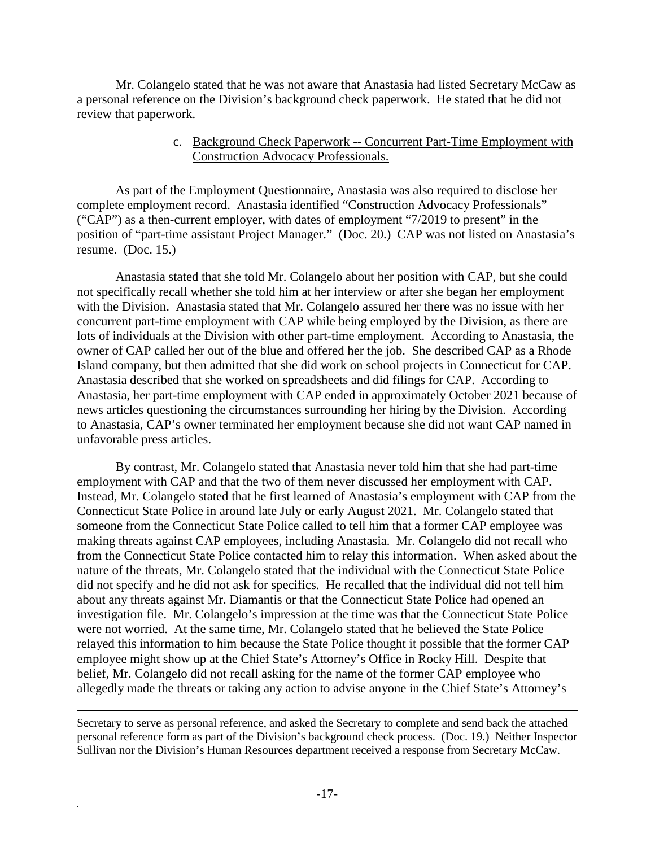Mr. Colangelo stated that he was not aware that Anastasia had listed Secretary McCaw as a personal reference on the Division's background check paperwork. He stated that he did not review that paperwork.

#### c. Background Check Paperwork -- Concurrent Part-Time Employment with Construction Advocacy Professionals.

As part of the Employment Questionnaire, Anastasia was also required to disclose her complete employment record. Anastasia identified "Construction Advocacy Professionals" ("CAP") as a then-current employer, with dates of employment "7/2019 to present" in the position of "part-time assistant Project Manager." (Doc. 20.) CAP was not listed on Anastasia's resume. (Doc. 15.)

Anastasia stated that she told Mr. Colangelo about her position with CAP, but she could not specifically recall whether she told him at her interview or after she began her employment with the Division. Anastasia stated that Mr. Colangelo assured her there was no issue with her concurrent part-time employment with CAP while being employed by the Division, as there are lots of individuals at the Division with other part-time employment. According to Anastasia, the owner of CAP called her out of the blue and offered her the job. She described CAP as a Rhode Island company, but then admitted that she did work on school projects in Connecticut for CAP. Anastasia described that she worked on spreadsheets and did filings for CAP. According to Anastasia, her part-time employment with CAP ended in approximately October 2021 because of news articles questioning the circumstances surrounding her hiring by the Division. According to Anastasia, CAP's owner terminated her employment because she did not want CAP named in unfavorable press articles.

By contrast, Mr. Colangelo stated that Anastasia never told him that she had part-time employment with CAP and that the two of them never discussed her employment with CAP. Instead, Mr. Colangelo stated that he first learned of Anastasia's employment with CAP from the Connecticut State Police in around late July or early August 2021. Mr. Colangelo stated that someone from the Connecticut State Police called to tell him that a former CAP employee was making threats against CAP employees, including Anastasia. Mr. Colangelo did not recall who from the Connecticut State Police contacted him to relay this information. When asked about the nature of the threats, Mr. Colangelo stated that the individual with the Connecticut State Police did not specify and he did not ask for specifics. He recalled that the individual did not tell him about any threats against Mr. Diamantis or that the Connecticut State Police had opened an investigation file. Mr. Colangelo's impression at the time was that the Connecticut State Police were not worried. At the same time, Mr. Colangelo stated that he believed the State Police relayed this information to him because the State Police thought it possible that the former CAP employee might show up at the Chief State's Attorney's Office in Rocky Hill. Despite that belief, Mr. Colangelo did not recall asking for the name of the former CAP employee who allegedly made the threats or taking any action to advise anyone in the Chief State's Attorney's

Secretary to serve as personal reference, and asked the Secretary to complete and send back the attached personal reference form as part of the Division's background check process. (Doc. 19.) Neither Inspector Sullivan nor the Division's Human Resources department received a response from Secretary McCaw.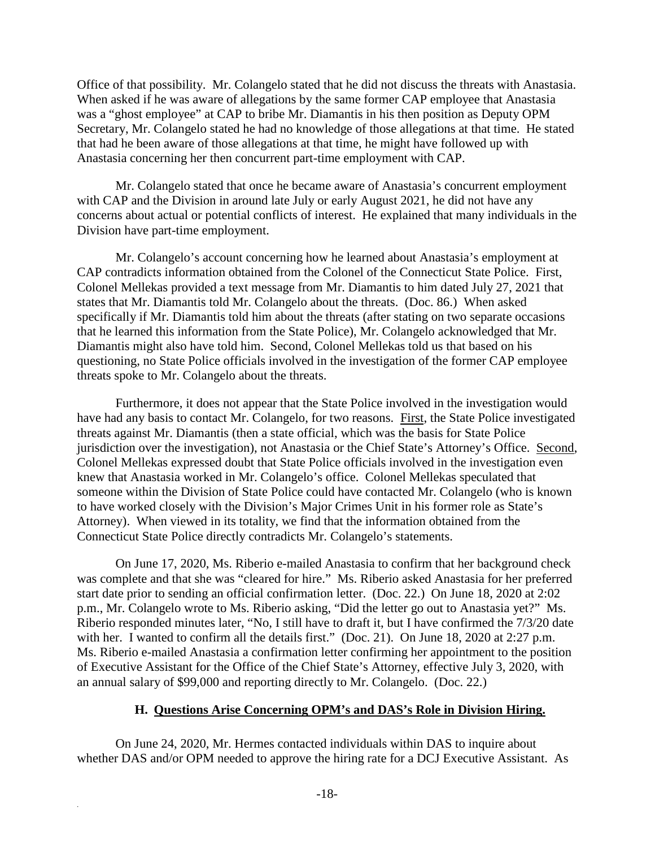Office of that possibility. Mr. Colangelo stated that he did not discuss the threats with Anastasia. When asked if he was aware of allegations by the same former CAP employee that Anastasia was a "ghost employee" at CAP to bribe Mr. Diamantis in his then position as Deputy OPM Secretary, Mr. Colangelo stated he had no knowledge of those allegations at that time. He stated that had he been aware of those allegations at that time, he might have followed up with Anastasia concerning her then concurrent part-time employment with CAP.

Mr. Colangelo stated that once he became aware of Anastasia's concurrent employment with CAP and the Division in around late July or early August 2021, he did not have any concerns about actual or potential conflicts of interest. He explained that many individuals in the Division have part-time employment.

Mr. Colangelo's account concerning how he learned about Anastasia's employment at CAP contradicts information obtained from the Colonel of the Connecticut State Police. First, Colonel Mellekas provided a text message from Mr. Diamantis to him dated July 27, 2021 that states that Mr. Diamantis told Mr. Colangelo about the threats. (Doc. 86.) When asked specifically if Mr. Diamantis told him about the threats (after stating on two separate occasions that he learned this information from the State Police), Mr. Colangelo acknowledged that Mr. Diamantis might also have told him. Second, Colonel Mellekas told us that based on his questioning, no State Police officials involved in the investigation of the former CAP employee threats spoke to Mr. Colangelo about the threats.

Furthermore, it does not appear that the State Police involved in the investigation would have had any basis to contact Mr. Colangelo, for two reasons. First, the State Police investigated threats against Mr. Diamantis (then a state official, which was the basis for State Police jurisdiction over the investigation), not Anastasia or the Chief State's Attorney's Office. Second, Colonel Mellekas expressed doubt that State Police officials involved in the investigation even knew that Anastasia worked in Mr. Colangelo's office. Colonel Mellekas speculated that someone within the Division of State Police could have contacted Mr. Colangelo (who is known to have worked closely with the Division's Major Crimes Unit in his former role as State's Attorney). When viewed in its totality, we find that the information obtained from the Connecticut State Police directly contradicts Mr. Colangelo's statements.

On June 17, 2020, Ms. Riberio e-mailed Anastasia to confirm that her background check was complete and that she was "cleared for hire." Ms. Riberio asked Anastasia for her preferred start date prior to sending an official confirmation letter. (Doc. 22.) On June 18, 2020 at 2:02 p.m., Mr. Colangelo wrote to Ms. Riberio asking, "Did the letter go out to Anastasia yet?" Ms. Riberio responded minutes later, "No, I still have to draft it, but I have confirmed the 7/3/20 date with her. I wanted to confirm all the details first." (Doc. 21). On June 18, 2020 at 2:27 p.m. Ms. Riberio e-mailed Anastasia a confirmation letter confirming her appointment to the position of Executive Assistant for the Office of the Chief State's Attorney, effective July 3, 2020, with an annual salary of \$99,000 and reporting directly to Mr. Colangelo. (Doc. 22.)

#### **H. Questions Arise Concerning OPM's and DAS's Role in Division Hiring.**

On June 24, 2020, Mr. Hermes contacted individuals within DAS to inquire about whether DAS and/or OPM needed to approve the hiring rate for a DCJ Executive Assistant. As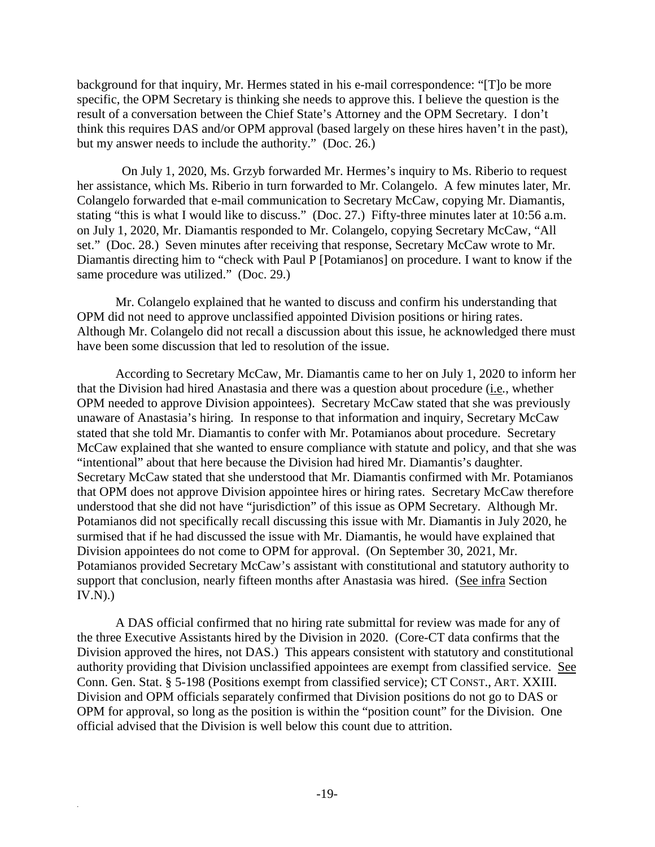background for that inquiry, Mr. Hermes stated in his e-mail correspondence: "[T]o be more specific, the OPM Secretary is thinking she needs to approve this. I believe the question is the result of a conversation between the Chief State's Attorney and the OPM Secretary. I don't think this requires DAS and/or OPM approval (based largely on these hires haven't in the past), but my answer needs to include the authority." (Doc. 26.)

 On July 1, 2020, Ms. Grzyb forwarded Mr. Hermes's inquiry to Ms. Riberio to request her assistance, which Ms. Riberio in turn forwarded to Mr. Colangelo. A few minutes later, Mr. Colangelo forwarded that e-mail communication to Secretary McCaw, copying Mr. Diamantis, stating "this is what I would like to discuss." (Doc. 27.) Fifty-three minutes later at 10:56 a.m. on July 1, 2020, Mr. Diamantis responded to Mr. Colangelo, copying Secretary McCaw, "All set." (Doc. 28.) Seven minutes after receiving that response, Secretary McCaw wrote to Mr. Diamantis directing him to "check with Paul P [Potamianos] on procedure. I want to know if the same procedure was utilized." (Doc. 29.)

Mr. Colangelo explained that he wanted to discuss and confirm his understanding that OPM did not need to approve unclassified appointed Division positions or hiring rates. Although Mr. Colangelo did not recall a discussion about this issue, he acknowledged there must have been some discussion that led to resolution of the issue.

According to Secretary McCaw, Mr. Diamantis came to her on July 1, 2020 to inform her that the Division had hired Anastasia and there was a question about procedure (i.e*.*, whether OPM needed to approve Division appointees). Secretary McCaw stated that she was previously unaware of Anastasia's hiring. In response to that information and inquiry, Secretary McCaw stated that she told Mr. Diamantis to confer with Mr. Potamianos about procedure. Secretary McCaw explained that she wanted to ensure compliance with statute and policy, and that she was "intentional" about that here because the Division had hired Mr. Diamantis's daughter. Secretary McCaw stated that she understood that Mr. Diamantis confirmed with Mr. Potamianos that OPM does not approve Division appointee hires or hiring rates. Secretary McCaw therefore understood that she did not have "jurisdiction" of this issue as OPM Secretary. Although Mr. Potamianos did not specifically recall discussing this issue with Mr. Diamantis in July 2020, he surmised that if he had discussed the issue with Mr. Diamantis, he would have explained that Division appointees do not come to OPM for approval. (On September 30, 2021, Mr. Potamianos provided Secretary McCaw's assistant with constitutional and statutory authority to support that conclusion, nearly fifteen months after Anastasia was hired. (See infra Section  $IV.N.$ ).

A DAS official confirmed that no hiring rate submittal for review was made for any of the three Executive Assistants hired by the Division in 2020. (Core-CT data confirms that the Division approved the hires, not DAS.) This appears consistent with statutory and constitutional authority providing that Division unclassified appointees are exempt from classified service. See Conn. Gen. Stat. § 5-198 (Positions exempt from classified service); CT CONST., ART. XXIII. Division and OPM officials separately confirmed that Division positions do not go to DAS or OPM for approval, so long as the position is within the "position count" for the Division. One official advised that the Division is well below this count due to attrition.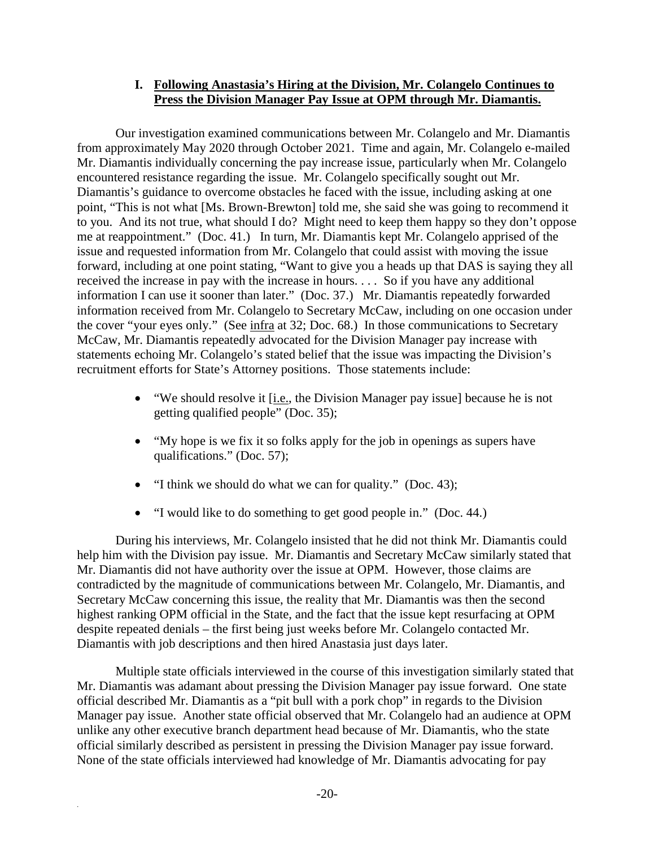#### **I. Following Anastasia's Hiring at the Division, Mr. Colangelo Continues to Press the Division Manager Pay Issue at OPM through Mr. Diamantis.**

Our investigation examined communications between Mr. Colangelo and Mr. Diamantis from approximately May 2020 through October 2021. Time and again, Mr. Colangelo e-mailed Mr. Diamantis individually concerning the pay increase issue, particularly when Mr. Colangelo encountered resistance regarding the issue. Mr. Colangelo specifically sought out Mr. Diamantis's guidance to overcome obstacles he faced with the issue, including asking at one point, "This is not what [Ms. Brown-Brewton] told me, she said she was going to recommend it to you. And its not true, what should I do? Might need to keep them happy so they don't oppose me at reappointment." (Doc. 41.) In turn, Mr. Diamantis kept Mr. Colangelo apprised of the issue and requested information from Mr. Colangelo that could assist with moving the issue forward, including at one point stating, "Want to give you a heads up that DAS is saying they all received the increase in pay with the increase in hours. . . . So if you have any additional information I can use it sooner than later." (Doc. 37.) Mr. Diamantis repeatedly forwarded information received from Mr. Colangelo to Secretary McCaw, including on one occasion under the cover "your eyes only." (See infra at 32; Doc. 68.) In those communications to Secretary McCaw, Mr. Diamantis repeatedly advocated for the Division Manager pay increase with statements echoing Mr. Colangelo's stated belief that the issue was impacting the Division's recruitment efforts for State's Attorney positions. Those statements include:

- "We should resolve it [i.e., the Division Manager pay issue] because he is not getting qualified people" (Doc. 35);
- "My hope is we fix it so folks apply for the job in openings as supers have qualifications." (Doc. 57);
- "I think we should do what we can for quality." (Doc. 43);
- "I would like to do something to get good people in." (Doc. 44.)

During his interviews, Mr. Colangelo insisted that he did not think Mr. Diamantis could help him with the Division pay issue. Mr. Diamantis and Secretary McCaw similarly stated that Mr. Diamantis did not have authority over the issue at OPM. However, those claims are contradicted by the magnitude of communications between Mr. Colangelo, Mr. Diamantis, and Secretary McCaw concerning this issue, the reality that Mr. Diamantis was then the second highest ranking OPM official in the State, and the fact that the issue kept resurfacing at OPM despite repeated denials – the first being just weeks before Mr. Colangelo contacted Mr. Diamantis with job descriptions and then hired Anastasia just days later.

Multiple state officials interviewed in the course of this investigation similarly stated that Mr. Diamantis was adamant about pressing the Division Manager pay issue forward. One state official described Mr. Diamantis as a "pit bull with a pork chop" in regards to the Division Manager pay issue. Another state official observed that Mr. Colangelo had an audience at OPM unlike any other executive branch department head because of Mr. Diamantis, who the state official similarly described as persistent in pressing the Division Manager pay issue forward. None of the state officials interviewed had knowledge of Mr. Diamantis advocating for pay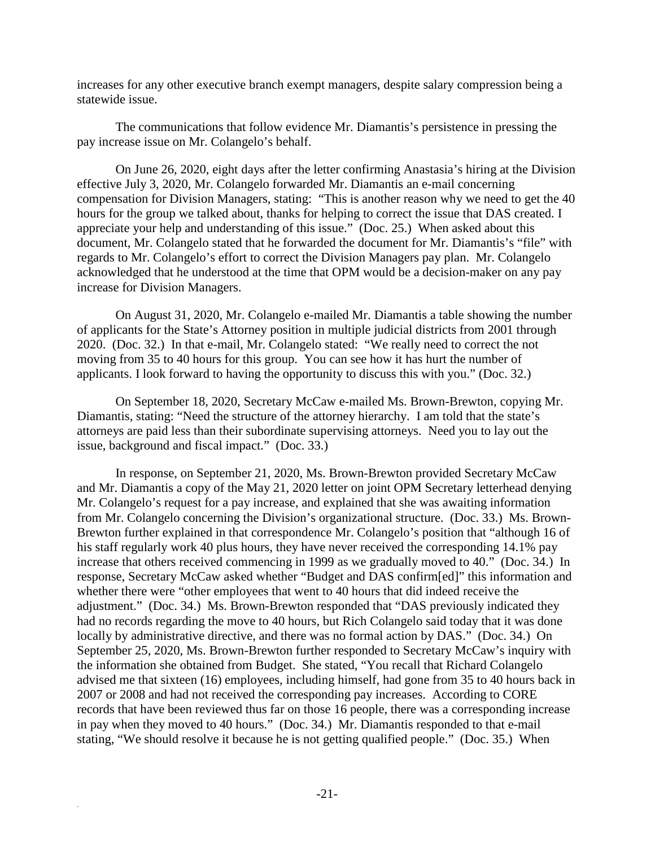increases for any other executive branch exempt managers, despite salary compression being a statewide issue.

The communications that follow evidence Mr. Diamantis's persistence in pressing the pay increase issue on Mr. Colangelo's behalf.

On June 26, 2020, eight days after the letter confirming Anastasia's hiring at the Division effective July 3, 2020, Mr. Colangelo forwarded Mr. Diamantis an e-mail concerning compensation for Division Managers, stating: "This is another reason why we need to get the 40 hours for the group we talked about, thanks for helping to correct the issue that DAS created. I appreciate your help and understanding of this issue." (Doc. 25.) When asked about this document, Mr. Colangelo stated that he forwarded the document for Mr. Diamantis's "file" with regards to Mr. Colangelo's effort to correct the Division Managers pay plan. Mr. Colangelo acknowledged that he understood at the time that OPM would be a decision-maker on any pay increase for Division Managers.

On August 31, 2020, Mr. Colangelo e-mailed Mr. Diamantis a table showing the number of applicants for the State's Attorney position in multiple judicial districts from 2001 through 2020. (Doc. 32.) In that e-mail, Mr. Colangelo stated: "We really need to correct the not moving from 35 to 40 hours for this group. You can see how it has hurt the number of applicants. I look forward to having the opportunity to discuss this with you." (Doc. 32.)

On September 18, 2020, Secretary McCaw e-mailed Ms. Brown-Brewton, copying Mr. Diamantis, stating: "Need the structure of the attorney hierarchy. I am told that the state's attorneys are paid less than their subordinate supervising attorneys. Need you to lay out the issue, background and fiscal impact." (Doc. 33.)

In response, on September 21, 2020, Ms. Brown-Brewton provided Secretary McCaw and Mr. Diamantis a copy of the May 21, 2020 letter on joint OPM Secretary letterhead denying Mr. Colangelo's request for a pay increase, and explained that she was awaiting information from Mr. Colangelo concerning the Division's organizational structure. (Doc. 33.) Ms. Brown-Brewton further explained in that correspondence Mr. Colangelo's position that "although 16 of his staff regularly work 40 plus hours, they have never received the corresponding 14.1% pay increase that others received commencing in 1999 as we gradually moved to 40." (Doc. 34.) In response, Secretary McCaw asked whether "Budget and DAS confirm[ed]" this information and whether there were "other employees that went to 40 hours that did indeed receive the adjustment." (Doc. 34.) Ms. Brown-Brewton responded that "DAS previously indicated they had no records regarding the move to 40 hours, but Rich Colangelo said today that it was done locally by administrative directive, and there was no formal action by DAS." (Doc. 34.) On September 25, 2020, Ms. Brown-Brewton further responded to Secretary McCaw's inquiry with the information she obtained from Budget. She stated, "You recall that Richard Colangelo advised me that sixteen (16) employees, including himself, had gone from 35 to 40 hours back in 2007 or 2008 and had not received the corresponding pay increases. According to CORE records that have been reviewed thus far on those 16 people, there was a corresponding increase in pay when they moved to 40 hours." (Doc. 34.) Mr. Diamantis responded to that e-mail stating, "We should resolve it because he is not getting qualified people." (Doc. 35.) When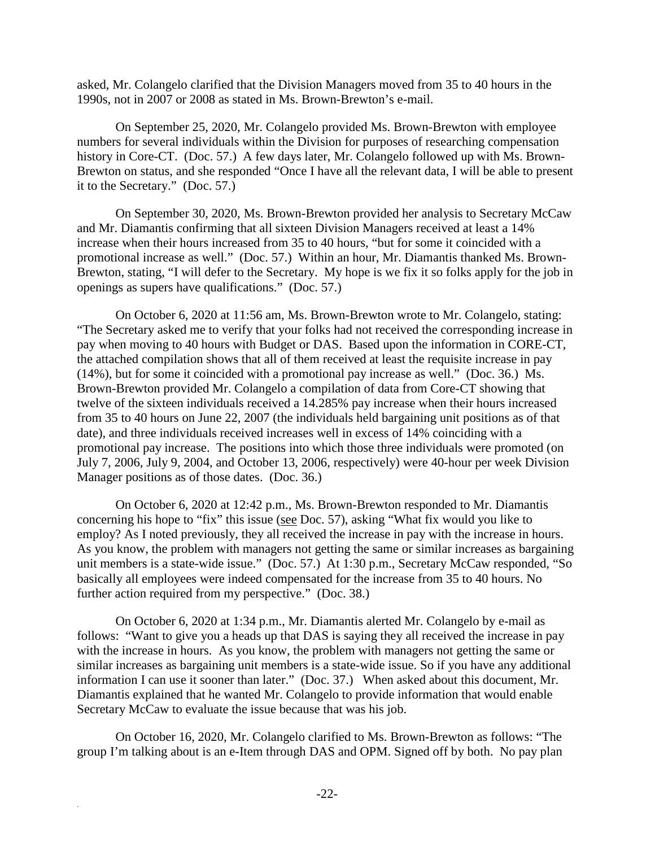asked, Mr. Colangelo clarified that the Division Managers moved from 35 to 40 hours in the 1990s, not in 2007 or 2008 as stated in Ms. Brown-Brewton's e-mail.

On September 25, 2020, Mr. Colangelo provided Ms. Brown-Brewton with employee numbers for several individuals within the Division for purposes of researching compensation history in Core-CT. (Doc. 57.) A few days later, Mr. Colangelo followed up with Ms. Brown-Brewton on status, and she responded "Once I have all the relevant data, I will be able to present it to the Secretary." (Doc. 57.)

On September 30, 2020, Ms. Brown-Brewton provided her analysis to Secretary McCaw and Mr. Diamantis confirming that all sixteen Division Managers received at least a 14% increase when their hours increased from 35 to 40 hours, "but for some it coincided with a promotional increase as well." (Doc. 57.) Within an hour, Mr. Diamantis thanked Ms. Brown-Brewton, stating, "I will defer to the Secretary. My hope is we fix it so folks apply for the job in openings as supers have qualifications." (Doc. 57.)

On October 6, 2020 at 11:56 am, Ms. Brown-Brewton wrote to Mr. Colangelo, stating: "The Secretary asked me to verify that your folks had not received the corresponding increase in pay when moving to 40 hours with Budget or DAS. Based upon the information in CORE-CT, the attached compilation shows that all of them received at least the requisite increase in pay (14%), but for some it coincided with a promotional pay increase as well." (Doc. 36.) Ms. Brown-Brewton provided Mr. Colangelo a compilation of data from Core-CT showing that twelve of the sixteen individuals received a 14.285% pay increase when their hours increased from 35 to 40 hours on June 22, 2007 (the individuals held bargaining unit positions as of that date), and three individuals received increases well in excess of 14% coinciding with a promotional pay increase. The positions into which those three individuals were promoted (on July 7, 2006, July 9, 2004, and October 13, 2006, respectively) were 40-hour per week Division Manager positions as of those dates. (Doc. 36.)

On October 6, 2020 at 12:42 p.m., Ms. Brown-Brewton responded to Mr. Diamantis concerning his hope to "fix" this issue (see Doc. 57), asking "What fix would you like to employ? As I noted previously, they all received the increase in pay with the increase in hours. As you know, the problem with managers not getting the same or similar increases as bargaining unit members is a state-wide issue." (Doc. 57.) At 1:30 p.m., Secretary McCaw responded, "So basically all employees were indeed compensated for the increase from 35 to 40 hours. No further action required from my perspective." (Doc. 38.)

On October 6, 2020 at 1:34 p.m., Mr. Diamantis alerted Mr. Colangelo by e-mail as follows: "Want to give you a heads up that DAS is saying they all received the increase in pay with the increase in hours. As you know, the problem with managers not getting the same or similar increases as bargaining unit members is a state-wide issue. So if you have any additional information I can use it sooner than later." (Doc. 37.) When asked about this document, Mr. Diamantis explained that he wanted Mr. Colangelo to provide information that would enable Secretary McCaw to evaluate the issue because that was his job.

On October 16, 2020, Mr. Colangelo clarified to Ms. Brown-Brewton as follows: "The group I'm talking about is an e-Item through DAS and OPM. Signed off by both. No pay plan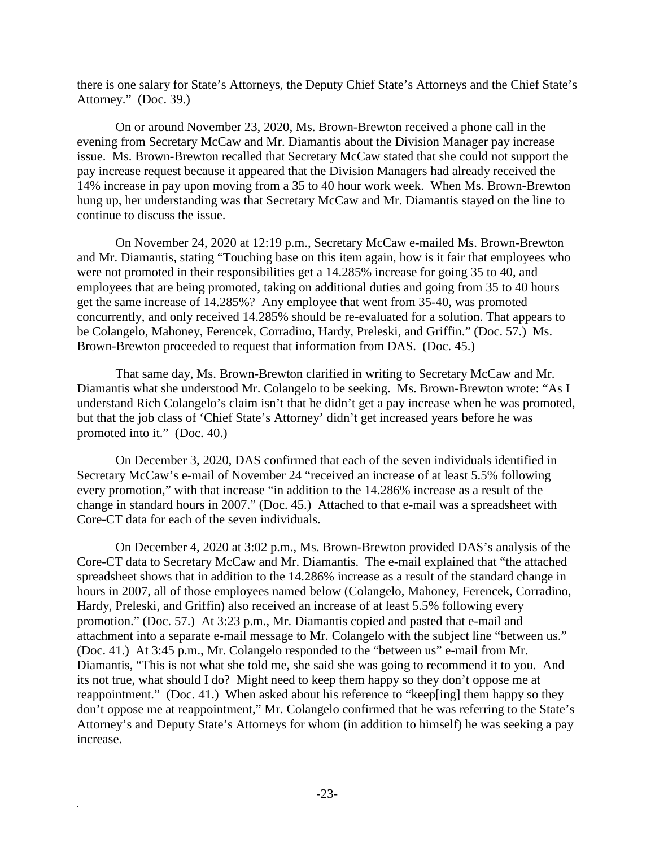there is one salary for State's Attorneys, the Deputy Chief State's Attorneys and the Chief State's Attorney." (Doc. 39.)

On or around November 23, 2020, Ms. Brown-Brewton received a phone call in the evening from Secretary McCaw and Mr. Diamantis about the Division Manager pay increase issue. Ms. Brown-Brewton recalled that Secretary McCaw stated that she could not support the pay increase request because it appeared that the Division Managers had already received the 14% increase in pay upon moving from a 35 to 40 hour work week. When Ms. Brown-Brewton hung up, her understanding was that Secretary McCaw and Mr. Diamantis stayed on the line to continue to discuss the issue.

On November 24, 2020 at 12:19 p.m., Secretary McCaw e-mailed Ms. Brown-Brewton and Mr. Diamantis, stating "Touching base on this item again, how is it fair that employees who were not promoted in their responsibilities get a 14.285% increase for going 35 to 40, and employees that are being promoted, taking on additional duties and going from 35 to 40 hours get the same increase of 14.285%? Any employee that went from 35-40, was promoted concurrently, and only received 14.285% should be re-evaluated for a solution. That appears to be Colangelo, Mahoney, Ferencek, Corradino, Hardy, Preleski, and Griffin." (Doc. 57.) Ms. Brown-Brewton proceeded to request that information from DAS. (Doc. 45.)

That same day, Ms. Brown-Brewton clarified in writing to Secretary McCaw and Mr. Diamantis what she understood Mr. Colangelo to be seeking. Ms. Brown-Brewton wrote: "As I understand Rich Colangelo's claim isn't that he didn't get a pay increase when he was promoted, but that the job class of 'Chief State's Attorney' didn't get increased years before he was promoted into it." (Doc. 40.)

On December 3, 2020, DAS confirmed that each of the seven individuals identified in Secretary McCaw's e-mail of November 24 "received an increase of at least 5.5% following every promotion," with that increase "in addition to the 14.286% increase as a result of the change in standard hours in 2007." (Doc. 45.) Attached to that e-mail was a spreadsheet with Core-CT data for each of the seven individuals.

On December 4, 2020 at 3:02 p.m., Ms. Brown-Brewton provided DAS's analysis of the Core-CT data to Secretary McCaw and Mr. Diamantis. The e-mail explained that "the attached spreadsheet shows that in addition to the 14.286% increase as a result of the standard change in hours in 2007, all of those employees named below (Colangelo, Mahoney, Ferencek, Corradino, Hardy, Preleski, and Griffin) also received an increase of at least 5.5% following every promotion." (Doc. 57.) At 3:23 p.m., Mr. Diamantis copied and pasted that e-mail and attachment into a separate e-mail message to Mr. Colangelo with the subject line "between us." (Doc. 41.) At 3:45 p.m., Mr. Colangelo responded to the "between us" e-mail from Mr. Diamantis, "This is not what she told me, she said she was going to recommend it to you. And its not true, what should I do? Might need to keep them happy so they don't oppose me at reappointment." (Doc. 41.) When asked about his reference to "keep[ing] them happy so they don't oppose me at reappointment," Mr. Colangelo confirmed that he was referring to the State's Attorney's and Deputy State's Attorneys for whom (in addition to himself) he was seeking a pay increase.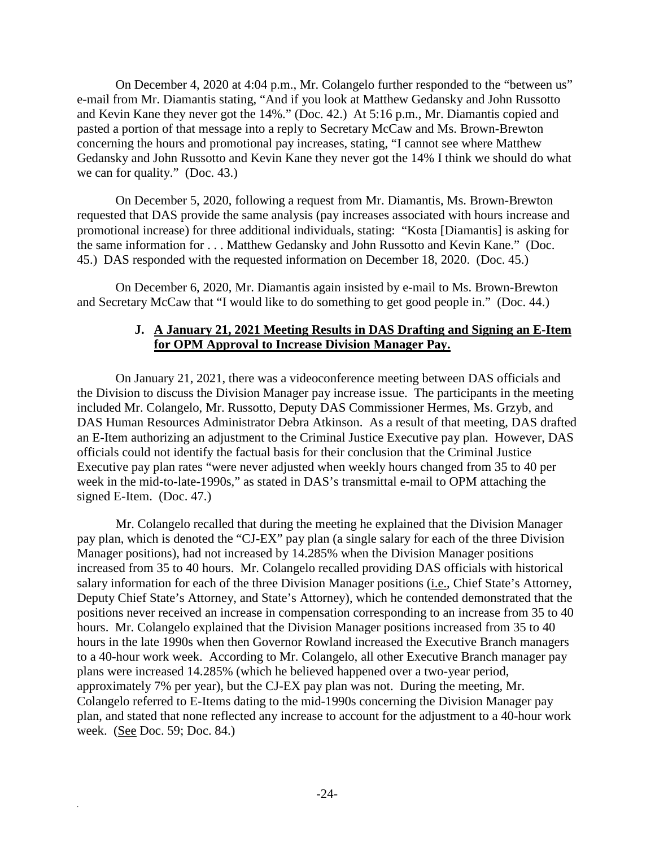On December 4, 2020 at 4:04 p.m., Mr. Colangelo further responded to the "between us" e-mail from Mr. Diamantis stating, "And if you look at Matthew Gedansky and John Russotto and Kevin Kane they never got the 14%." (Doc. 42.) At 5:16 p.m., Mr. Diamantis copied and pasted a portion of that message into a reply to Secretary McCaw and Ms. Brown-Brewton concerning the hours and promotional pay increases, stating, "I cannot see where Matthew Gedansky and John Russotto and Kevin Kane they never got the 14% I think we should do what we can for quality." (Doc. 43.)

On December 5, 2020, following a request from Mr. Diamantis, Ms. Brown-Brewton requested that DAS provide the same analysis (pay increases associated with hours increase and promotional increase) for three additional individuals, stating: "Kosta [Diamantis] is asking for the same information for . . . Matthew Gedansky and John Russotto and Kevin Kane." (Doc. 45.) DAS responded with the requested information on December 18, 2020. (Doc. 45.)

On December 6, 2020, Mr. Diamantis again insisted by e-mail to Ms. Brown-Brewton and Secretary McCaw that "I would like to do something to get good people in." (Doc. 44.)

#### **J. A January 21, 2021 Meeting Results in DAS Drafting and Signing an E-Item for OPM Approval to Increase Division Manager Pay.**

On January 21, 2021, there was a videoconference meeting between DAS officials and the Division to discuss the Division Manager pay increase issue. The participants in the meeting included Mr. Colangelo, Mr. Russotto, Deputy DAS Commissioner Hermes, Ms. Grzyb, and DAS Human Resources Administrator Debra Atkinson. As a result of that meeting, DAS drafted an E-Item authorizing an adjustment to the Criminal Justice Executive pay plan. However, DAS officials could not identify the factual basis for their conclusion that the Criminal Justice Executive pay plan rates "were never adjusted when weekly hours changed from 35 to 40 per week in the mid-to-late-1990s," as stated in DAS's transmittal e-mail to OPM attaching the signed E-Item. (Doc. 47.)

Mr. Colangelo recalled that during the meeting he explained that the Division Manager pay plan, which is denoted the "CJ-EX" pay plan (a single salary for each of the three Division Manager positions), had not increased by 14.285% when the Division Manager positions increased from 35 to 40 hours. Mr. Colangelo recalled providing DAS officials with historical salary information for each of the three Division Manager positions (i.e., Chief State's Attorney, Deputy Chief State's Attorney, and State's Attorney), which he contended demonstrated that the positions never received an increase in compensation corresponding to an increase from 35 to 40 hours. Mr. Colangelo explained that the Division Manager positions increased from 35 to 40 hours in the late 1990s when then Governor Rowland increased the Executive Branch managers to a 40-hour work week. According to Mr. Colangelo, all other Executive Branch manager pay plans were increased 14.285% (which he believed happened over a two-year period, approximately 7% per year), but the CJ-EX pay plan was not. During the meeting, Mr. Colangelo referred to E-Items dating to the mid-1990s concerning the Division Manager pay plan, and stated that none reflected any increase to account for the adjustment to a 40-hour work week. (See Doc. 59; Doc. 84.)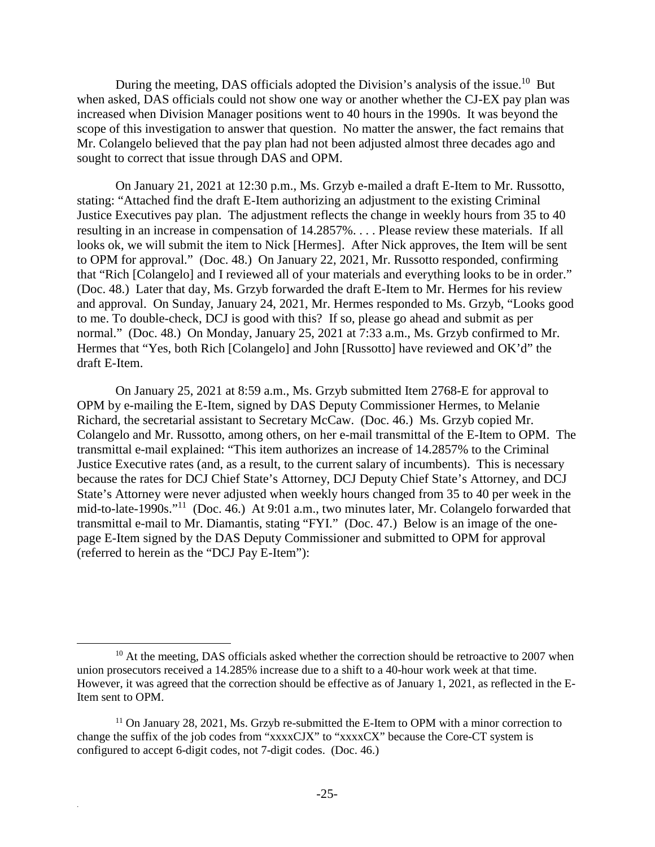During the meeting, DAS officials adopted the Division's analysis of the issue.<sup>10</sup> But when asked, DAS officials could not show one way or another whether the CJ-EX pay plan was increased when Division Manager positions went to 40 hours in the 1990s. It was beyond the scope of this investigation to answer that question. No matter the answer, the fact remains that Mr. Colangelo believed that the pay plan had not been adjusted almost three decades ago and sought to correct that issue through DAS and OPM.

On January 21, 2021 at 12:30 p.m., Ms. Grzyb e-mailed a draft E-Item to Mr. Russotto, stating: "Attached find the draft E-Item authorizing an adjustment to the existing Criminal Justice Executives pay plan. The adjustment reflects the change in weekly hours from 35 to 40 resulting in an increase in compensation of 14.2857%. . . . Please review these materials. If all looks ok, we will submit the item to Nick [Hermes]. After Nick approves, the Item will be sent to OPM for approval." (Doc. 48.) On January 22, 2021, Mr. Russotto responded, confirming that "Rich [Colangelo] and I reviewed all of your materials and everything looks to be in order." (Doc. 48.) Later that day, Ms. Grzyb forwarded the draft E-Item to Mr. Hermes for his review and approval. On Sunday, January 24, 2021, Mr. Hermes responded to Ms. Grzyb, "Looks good to me. To double-check, DCJ is good with this? If so, please go ahead and submit as per normal." (Doc. 48.) On Monday, January 25, 2021 at 7:33 a.m., Ms. Grzyb confirmed to Mr. Hermes that "Yes, both Rich [Colangelo] and John [Russotto] have reviewed and OK'd" the draft E-Item.

On January 25, 2021 at 8:59 a.m., Ms. Grzyb submitted Item 2768-E for approval to OPM by e-mailing the E-Item, signed by DAS Deputy Commissioner Hermes, to Melanie Richard, the secretarial assistant to Secretary McCaw. (Doc. 46.) Ms. Grzyb copied Mr. Colangelo and Mr. Russotto, among others, on her e-mail transmittal of the E-Item to OPM. The transmittal e-mail explained: "This item authorizes an increase of 14.2857% to the Criminal Justice Executive rates (and, as a result, to the current salary of incumbents). This is necessary because the rates for DCJ Chief State's Attorney, DCJ Deputy Chief State's Attorney, and DCJ State's Attorney were never adjusted when weekly hours changed from 35 to 40 per week in the mid-to-late-1990s."<sup>11</sup> (Doc. 46.) At 9:01 a.m., two minutes later, Mr. Colangelo forwarded that transmittal e-mail to Mr. Diamantis, stating "FYI." (Doc. 47.) Below is an image of the onepage E-Item signed by the DAS Deputy Commissioner and submitted to OPM for approval (referred to herein as the "DCJ Pay E-Item"):

 $10$  At the meeting, DAS officials asked whether the correction should be retroactive to 2007 when union prosecutors received a 14.285% increase due to a shift to a 40-hour work week at that time. However, it was agreed that the correction should be effective as of January 1, 2021, as reflected in the E-Item sent to OPM.

<sup>&</sup>lt;sup>11</sup> On January 28, 2021, Ms. Grzyb re-submitted the E-Item to OPM with a minor correction to change the suffix of the job codes from "xxxxCJX" to "xxxxCX" because the Core-CT system is configured to accept 6-digit codes, not 7-digit codes. (Doc. 46.)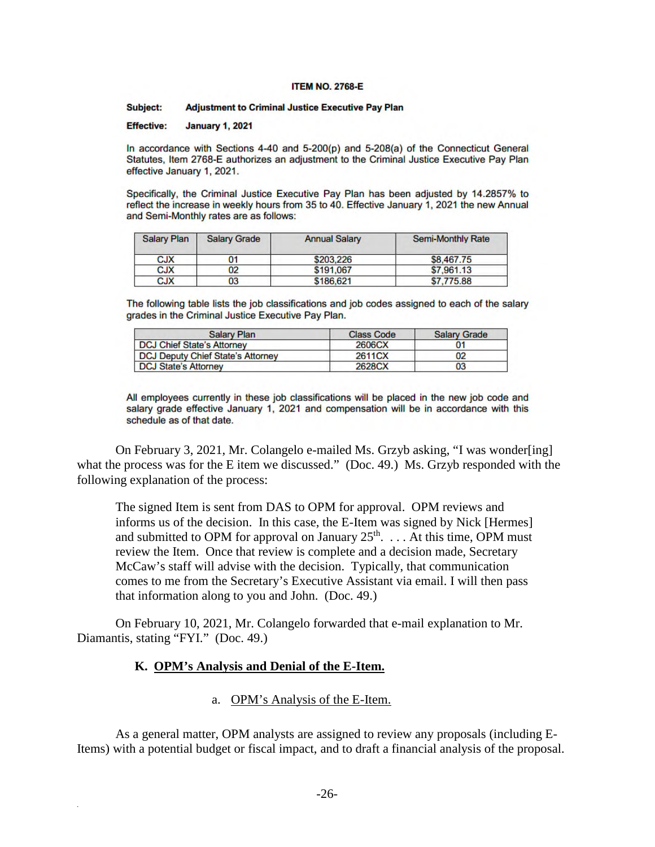#### **ITEM NO. 2768-E**

#### Subject: **Adjustment to Criminal Justice Executive Pay Plan**

**Effective: January 1, 2021** 

In accordance with Sections 4-40 and 5-200(p) and 5-208(a) of the Connecticut General Statutes, Item 2768-E authorizes an adjustment to the Criminal Justice Executive Pay Plan effective January 1, 2021.

Specifically, the Criminal Justice Executive Pay Plan has been adjusted by 14.2857% to reflect the increase in weekly hours from 35 to 40. Effective January 1, 2021 the new Annual and Semi-Monthly rates are as follows:

| Salary Plan | <b>Salary Grade</b> | <b>Annual Salary</b> | <b>Semi-Monthly Rate</b> |
|-------------|---------------------|----------------------|--------------------------|
| <b>CJX</b>  | 01                  | \$203,226            | \$8,467.75               |
| <b>CJX</b>  | 02                  | \$191.067            | \$7,961.13               |
| <b>CJX</b>  | 03                  | \$186,621            | \$7,775,88               |

The following table lists the job classifications and job codes assigned to each of the salary grades in the Criminal Justice Executive Pay Plan.

| Salary Plan                       | <b>Class Code</b> | <b>Salary Grade</b> |
|-----------------------------------|-------------------|---------------------|
| <b>DCJ Chief State's Attorney</b> | 2606CX            |                     |
| DCJ Deputy Chief State's Attorney | 2611CX            | 02                  |
| <b>DCJ State's Attorney</b>       | 2628CX            | 03                  |

All employees currently in these job classifications will be placed in the new job code and salary grade effective January 1, 2021 and compensation will be in accordance with this schedule as of that date.

On February 3, 2021, Mr. Colangelo e-mailed Ms. Grzyb asking, "I was wonder[ing] what the process was for the E item we discussed." (Doc. 49.) Ms. Grzyb responded with the following explanation of the process:

The signed Item is sent from DAS to OPM for approval. OPM reviews and informs us of the decision. In this case, the E-Item was signed by Nick [Hermes] and submitted to OPM for approval on January  $25<sup>th</sup>$ . . . . At this time, OPM must review the Item. Once that review is complete and a decision made, Secretary McCaw's staff will advise with the decision. Typically, that communication comes to me from the Secretary's Executive Assistant via email. I will then pass that information along to you and John. (Doc. 49.)

On February 10, 2021, Mr. Colangelo forwarded that e-mail explanation to Mr. Diamantis, stating "FYI." (Doc. 49.)

#### **K. OPM's Analysis and Denial of the E-Item.**

.

#### a. OPM's Analysis of the E-Item.

As a general matter, OPM analysts are assigned to review any proposals (including E-Items) with a potential budget or fiscal impact, and to draft a financial analysis of the proposal.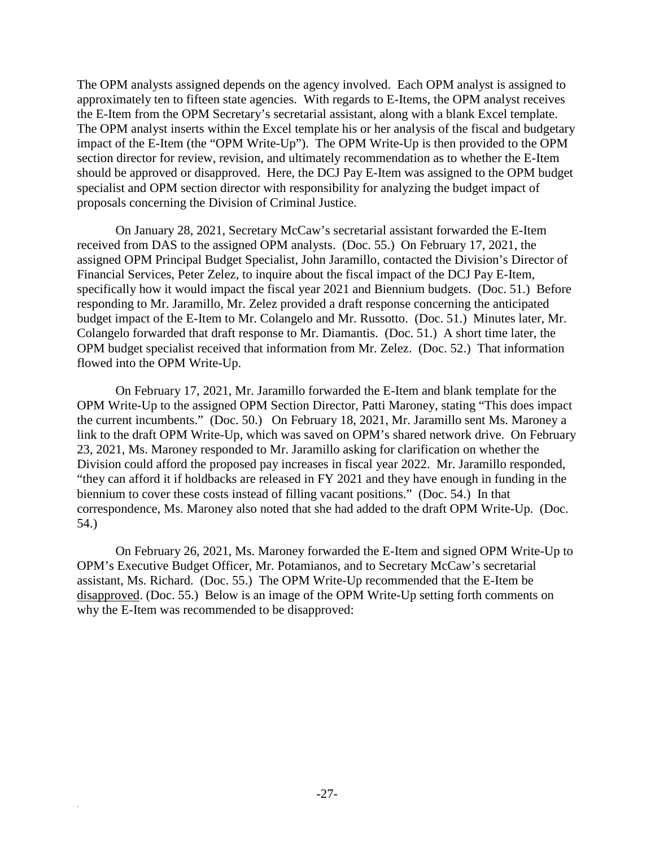The OPM analysts assigned depends on the agency involved. Each OPM analyst is assigned to approximately ten to fifteen state agencies. With regards to E-Items, the OPM analyst receives the E-Item from the OPM Secretary's secretarial assistant, along with a blank Excel template. The OPM analyst inserts within the Excel template his or her analysis of the fiscal and budgetary impact of the E-Item (the "OPM Write-Up"). The OPM Write-Up is then provided to the OPM section director for review, revision, and ultimately recommendation as to whether the E-Item should be approved or disapproved. Here, the DCJ Pay E-Item was assigned to the OPM budget specialist and OPM section director with responsibility for analyzing the budget impact of proposals concerning the Division of Criminal Justice.

On January 28, 2021, Secretary McCaw's secretarial assistant forwarded the E-Item received from DAS to the assigned OPM analysts. (Doc. 55.) On February 17, 2021, the assigned OPM Principal Budget Specialist, John Jaramillo, contacted the Division's Director of Financial Services, Peter Zelez, to inquire about the fiscal impact of the DCJ Pay E-Item, specifically how it would impact the fiscal year 2021 and Biennium budgets. (Doc. 51.) Before responding to Mr. Jaramillo, Mr. Zelez provided a draft response concerning the anticipated budget impact of the E-Item to Mr. Colangelo and Mr. Russotto. (Doc. 51.) Minutes later, Mr. Colangelo forwarded that draft response to Mr. Diamantis. (Doc. 51.) A short time later, the OPM budget specialist received that information from Mr. Zelez. (Doc. 52.) That information flowed into the OPM Write-Up.

On February 17, 2021, Mr. Jaramillo forwarded the E-Item and blank template for the OPM Write-Up to the assigned OPM Section Director, Patti Maroney, stating "This does impact the current incumbents." (Doc. 50.) On February 18, 2021, Mr. Jaramillo sent Ms. Maroney a link to the draft OPM Write-Up, which was saved on OPM's shared network drive. On February 23, 2021, Ms. Maroney responded to Mr. Jaramillo asking for clarification on whether the Division could afford the proposed pay increases in fiscal year 2022. Mr. Jaramillo responded, "they can afford it if holdbacks are released in FY 2021 and they have enough in funding in the biennium to cover these costs instead of filling vacant positions." (Doc. 54.) In that correspondence, Ms. Maroney also noted that she had added to the draft OPM Write-Up. (Doc. 54.)

On February 26, 2021, Ms. Maroney forwarded the E-Item and signed OPM Write-Up to OPM's Executive Budget Officer, Mr. Potamianos, and to Secretary McCaw's secretarial assistant, Ms. Richard. (Doc. 55.) The OPM Write-Up recommended that the E-Item be disapproved. (Doc. 55.) Below is an image of the OPM Write-Up setting forth comments on why the E-Item was recommended to be disapproved: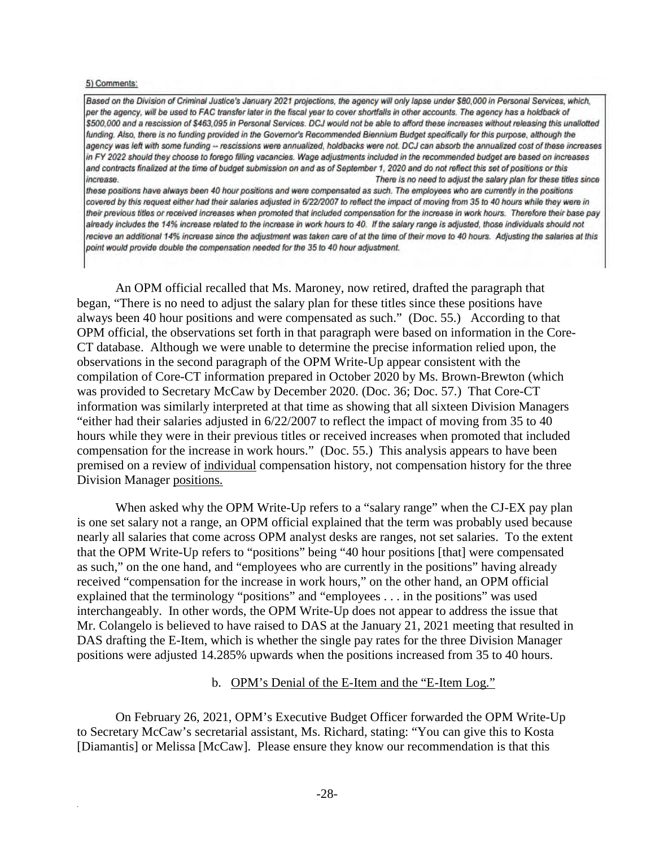#### 5) Comments:

.

Based on the Division of Criminal Justice's January 2021 projections, the agency will only lapse under \$80,000 in Personal Services, which, per the agency, will be used to FAC transfer later in the fiscal year to cover shortfalls in other accounts. The agency has a holdback of \$500,000 and a rescission of \$463,095 in Personal Services. DCJ would not be able to afford these increases without releasing this unallotted funding. Also, there is no funding provided in the Governor's Recommended Biennium Budget specifically for this purpose, although the agency was left with some funding -- rescissions were annualized, holdbacks were not. DCJ can absorb the annualized cost of these increases in FY 2022 should they choose to forego filling vacancies. Wage adjustments included in the recommended budget are based on increases and contracts finalized at the time of budget submission on and as of September 1, 2020 and do not reflect this set of positions or this increase. There is no need to adjust the salary plan for these titles since

these positions have always been 40 hour positions and were compensated as such. The employees who are currently in the positions covered by this request either had their salaries adjusted in 6/22/2007 to reflect the impact of moving from 35 to 40 hours while they were in their previous titles or received increases when promoted that included compensation for the increase in work hours. Therefore their base pay already includes the 14% increase related to the increase in work hours to 40. If the salary range is adjusted, those individuals should not recieve an additional 14% increase since the adjustment was taken care of at the time of their move to 40 hours. Adjusting the salaries at this point would provide double the compensation needed for the 35 to 40 hour adjustment.

An OPM official recalled that Ms. Maroney, now retired, drafted the paragraph that began, "There is no need to adjust the salary plan for these titles since these positions have always been 40 hour positions and were compensated as such." (Doc. 55.) According to that OPM official, the observations set forth in that paragraph were based on information in the Core-CT database. Although we were unable to determine the precise information relied upon, the observations in the second paragraph of the OPM Write-Up appear consistent with the compilation of Core-CT information prepared in October 2020 by Ms. Brown-Brewton (which was provided to Secretary McCaw by December 2020. (Doc. 36; Doc. 57.) That Core-CT information was similarly interpreted at that time as showing that all sixteen Division Managers "either had their salaries adjusted in 6/22/2007 to reflect the impact of moving from 35 to 40 hours while they were in their previous titles or received increases when promoted that included compensation for the increase in work hours." (Doc. 55.) This analysis appears to have been premised on a review of individual compensation history, not compensation history for the three Division Manager positions.

When asked why the OPM Write-Up refers to a "salary range" when the CJ-EX pay plan is one set salary not a range, an OPM official explained that the term was probably used because nearly all salaries that come across OPM analyst desks are ranges, not set salaries. To the extent that the OPM Write-Up refers to "positions" being "40 hour positions [that] were compensated as such," on the one hand, and "employees who are currently in the positions" having already received "compensation for the increase in work hours," on the other hand, an OPM official explained that the terminology "positions" and "employees . . . in the positions" was used interchangeably. In other words, the OPM Write-Up does not appear to address the issue that Mr. Colangelo is believed to have raised to DAS at the January 21, 2021 meeting that resulted in DAS drafting the E-Item, which is whether the single pay rates for the three Division Manager positions were adjusted 14.285% upwards when the positions increased from 35 to 40 hours.

#### b. OPM's Denial of the E-Item and the "E-Item Log."

On February 26, 2021, OPM's Executive Budget Officer forwarded the OPM Write-Up to Secretary McCaw's secretarial assistant, Ms. Richard, stating: "You can give this to Kosta [Diamantis] or Melissa [McCaw]. Please ensure they know our recommendation is that this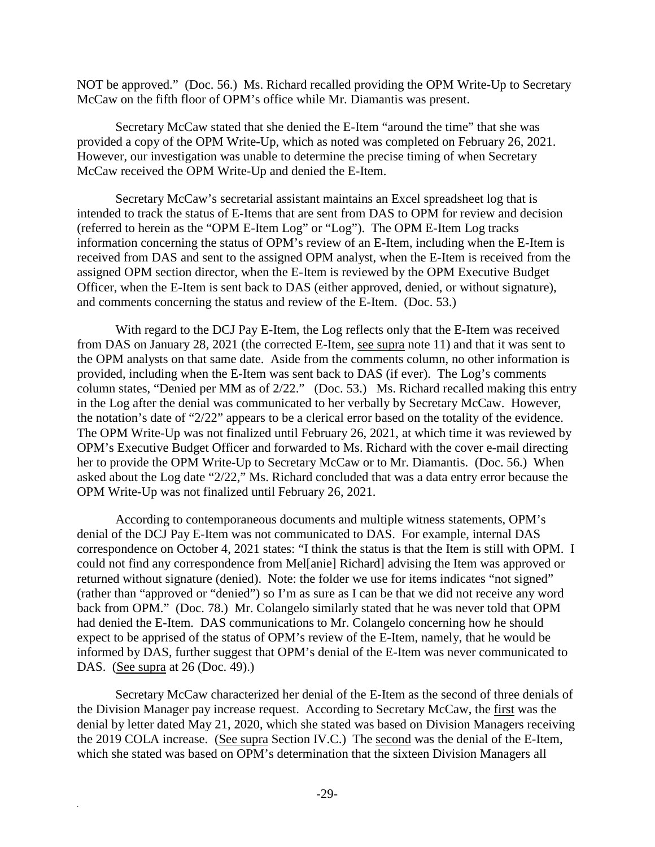NOT be approved." (Doc. 56.) Ms. Richard recalled providing the OPM Write-Up to Secretary McCaw on the fifth floor of OPM's office while Mr. Diamantis was present.

Secretary McCaw stated that she denied the E-Item "around the time" that she was provided a copy of the OPM Write-Up, which as noted was completed on February 26, 2021. However, our investigation was unable to determine the precise timing of when Secretary McCaw received the OPM Write-Up and denied the E-Item.

Secretary McCaw's secretarial assistant maintains an Excel spreadsheet log that is intended to track the status of E-Items that are sent from DAS to OPM for review and decision (referred to herein as the "OPM E-Item Log" or "Log"). The OPM E-Item Log tracks information concerning the status of OPM's review of an E-Item, including when the E-Item is received from DAS and sent to the assigned OPM analyst, when the E-Item is received from the assigned OPM section director, when the E-Item is reviewed by the OPM Executive Budget Officer, when the E-Item is sent back to DAS (either approved, denied, or without signature), and comments concerning the status and review of the E-Item. (Doc. 53.)

With regard to the DCJ Pay E-Item, the Log reflects only that the E-Item was received from DAS on January 28, 2021 (the corrected E-Item, see supra note 11) and that it was sent to the OPM analysts on that same date. Aside from the comments column, no other information is provided, including when the E-Item was sent back to DAS (if ever). The Log's comments column states, "Denied per MM as of 2/22." (Doc. 53.) Ms. Richard recalled making this entry in the Log after the denial was communicated to her verbally by Secretary McCaw. However, the notation's date of "2/22" appears to be a clerical error based on the totality of the evidence. The OPM Write-Up was not finalized until February 26, 2021, at which time it was reviewed by OPM's Executive Budget Officer and forwarded to Ms. Richard with the cover e-mail directing her to provide the OPM Write-Up to Secretary McCaw or to Mr. Diamantis. (Doc. 56.) When asked about the Log date "2/22," Ms. Richard concluded that was a data entry error because the OPM Write-Up was not finalized until February 26, 2021.

According to contemporaneous documents and multiple witness statements, OPM's denial of the DCJ Pay E-Item was not communicated to DAS. For example, internal DAS correspondence on October 4, 2021 states: "I think the status is that the Item is still with OPM. I could not find any correspondence from Mel[anie] Richard] advising the Item was approved or returned without signature (denied). Note: the folder we use for items indicates "not signed" (rather than "approved or "denied") so I'm as sure as I can be that we did not receive any word back from OPM." (Doc. 78.) Mr. Colangelo similarly stated that he was never told that OPM had denied the E-Item. DAS communications to Mr. Colangelo concerning how he should expect to be apprised of the status of OPM's review of the E-Item, namely, that he would be informed by DAS, further suggest that OPM's denial of the E-Item was never communicated to DAS. (See supra at 26 (Doc. 49).)

Secretary McCaw characterized her denial of the E-Item as the second of three denials of the Division Manager pay increase request. According to Secretary McCaw, the first was the denial by letter dated May 21, 2020, which she stated was based on Division Managers receiving the 2019 COLA increase. (See supra Section IV.C.) The second was the denial of the E-Item, which she stated was based on OPM's determination that the sixteen Division Managers all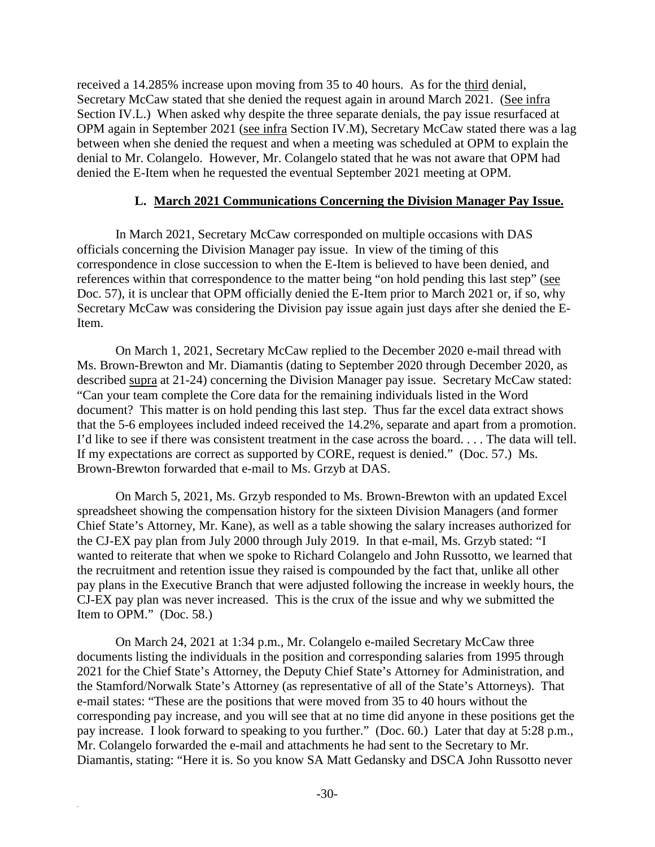received a 14.285% increase upon moving from 35 to 40 hours. As for the third denial, Secretary McCaw stated that she denied the request again in around March 2021. (See infra Section IV.L.) When asked why despite the three separate denials, the pay issue resurfaced at OPM again in September 2021 (see infra Section IV.M), Secretary McCaw stated there was a lag between when she denied the request and when a meeting was scheduled at OPM to explain the denial to Mr. Colangelo. However, Mr. Colangelo stated that he was not aware that OPM had denied the E-Item when he requested the eventual September 2021 meeting at OPM.

#### **L. March 2021 Communications Concerning the Division Manager Pay Issue.**

In March 2021, Secretary McCaw corresponded on multiple occasions with DAS officials concerning the Division Manager pay issue. In view of the timing of this correspondence in close succession to when the E-Item is believed to have been denied, and references within that correspondence to the matter being "on hold pending this last step" (see Doc. 57), it is unclear that OPM officially denied the E-Item prior to March 2021 or, if so, why Secretary McCaw was considering the Division pay issue again just days after she denied the E-Item.

On March 1, 2021, Secretary McCaw replied to the December 2020 e-mail thread with Ms. Brown-Brewton and Mr. Diamantis (dating to September 2020 through December 2020, as described supra at 21-24) concerning the Division Manager pay issue. Secretary McCaw stated: "Can your team complete the Core data for the remaining individuals listed in the Word document? This matter is on hold pending this last step. Thus far the excel data extract shows that the 5-6 employees included indeed received the 14.2%, separate and apart from a promotion. I'd like to see if there was consistent treatment in the case across the board. . . . The data will tell. If my expectations are correct as supported by CORE, request is denied." (Doc. 57.) Ms. Brown-Brewton forwarded that e-mail to Ms. Grzyb at DAS.

On March 5, 2021, Ms. Grzyb responded to Ms. Brown-Brewton with an updated Excel spreadsheet showing the compensation history for the sixteen Division Managers (and former Chief State's Attorney, Mr. Kane), as well as a table showing the salary increases authorized for the CJ-EX pay plan from July 2000 through July 2019. In that e-mail, Ms. Grzyb stated: "I wanted to reiterate that when we spoke to Richard Colangelo and John Russotto, we learned that the recruitment and retention issue they raised is compounded by the fact that, unlike all other pay plans in the Executive Branch that were adjusted following the increase in weekly hours, the CJ-EX pay plan was never increased. This is the crux of the issue and why we submitted the Item to OPM." (Doc. 58.)

On March 24, 2021 at 1:34 p.m., Mr. Colangelo e-mailed Secretary McCaw three documents listing the individuals in the position and corresponding salaries from 1995 through 2021 for the Chief State's Attorney, the Deputy Chief State's Attorney for Administration, and the Stamford/Norwalk State's Attorney (as representative of all of the State's Attorneys). That e-mail states: "These are the positions that were moved from 35 to 40 hours without the corresponding pay increase, and you will see that at no time did anyone in these positions get the pay increase. I look forward to speaking to you further." (Doc. 60.) Later that day at 5:28 p.m., Mr. Colangelo forwarded the e-mail and attachments he had sent to the Secretary to Mr. Diamantis, stating: "Here it is. So you know SA Matt Gedansky and DSCA John Russotto never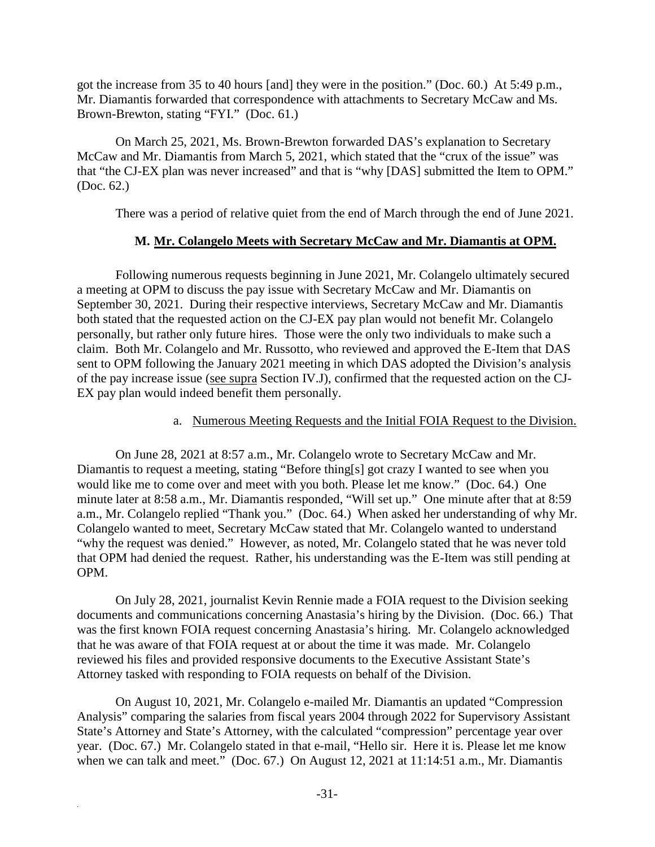got the increase from 35 to 40 hours [and] they were in the position." (Doc. 60.) At 5:49 p.m., Mr. Diamantis forwarded that correspondence with attachments to Secretary McCaw and Ms. Brown-Brewton, stating "FYI." (Doc. 61.)

On March 25, 2021, Ms. Brown-Brewton forwarded DAS's explanation to Secretary McCaw and Mr. Diamantis from March 5, 2021, which stated that the "crux of the issue" was that "the CJ-EX plan was never increased" and that is "why [DAS] submitted the Item to OPM." (Doc. 62.)

There was a period of relative quiet from the end of March through the end of June 2021.

#### **M. Mr. Colangelo Meets with Secretary McCaw and Mr. Diamantis at OPM.**

Following numerous requests beginning in June 2021, Mr. Colangelo ultimately secured a meeting at OPM to discuss the pay issue with Secretary McCaw and Mr. Diamantis on September 30, 2021. During their respective interviews, Secretary McCaw and Mr. Diamantis both stated that the requested action on the CJ-EX pay plan would not benefit Mr. Colangelo personally, but rather only future hires. Those were the only two individuals to make such a claim. Both Mr. Colangelo and Mr. Russotto, who reviewed and approved the E-Item that DAS sent to OPM following the January 2021 meeting in which DAS adopted the Division's analysis of the pay increase issue (see supra Section IV.J), confirmed that the requested action on the CJ-EX pay plan would indeed benefit them personally.

#### a. Numerous Meeting Requests and the Initial FOIA Request to the Division.

On June 28, 2021 at 8:57 a.m., Mr. Colangelo wrote to Secretary McCaw and Mr. Diamantis to request a meeting, stating "Before thing[s] got crazy I wanted to see when you would like me to come over and meet with you both. Please let me know." (Doc. 64.) One minute later at 8:58 a.m., Mr. Diamantis responded, "Will set up." One minute after that at 8:59 a.m., Mr. Colangelo replied "Thank you." (Doc. 64.) When asked her understanding of why Mr. Colangelo wanted to meet, Secretary McCaw stated that Mr. Colangelo wanted to understand "why the request was denied." However, as noted, Mr. Colangelo stated that he was never told that OPM had denied the request. Rather, his understanding was the E-Item was still pending at OPM.

On July 28, 2021, journalist Kevin Rennie made a FOIA request to the Division seeking documents and communications concerning Anastasia's hiring by the Division. (Doc. 66.) That was the first known FOIA request concerning Anastasia's hiring. Mr. Colangelo acknowledged that he was aware of that FOIA request at or about the time it was made. Mr. Colangelo reviewed his files and provided responsive documents to the Executive Assistant State's Attorney tasked with responding to FOIA requests on behalf of the Division.

On August 10, 2021, Mr. Colangelo e-mailed Mr. Diamantis an updated "Compression Analysis" comparing the salaries from fiscal years 2004 through 2022 for Supervisory Assistant State's Attorney and State's Attorney, with the calculated "compression" percentage year over year. (Doc. 67.) Mr. Colangelo stated in that e-mail, "Hello sir. Here it is. Please let me know when we can talk and meet." (Doc. 67.) On August 12, 2021 at 11:14:51 a.m., Mr. Diamantis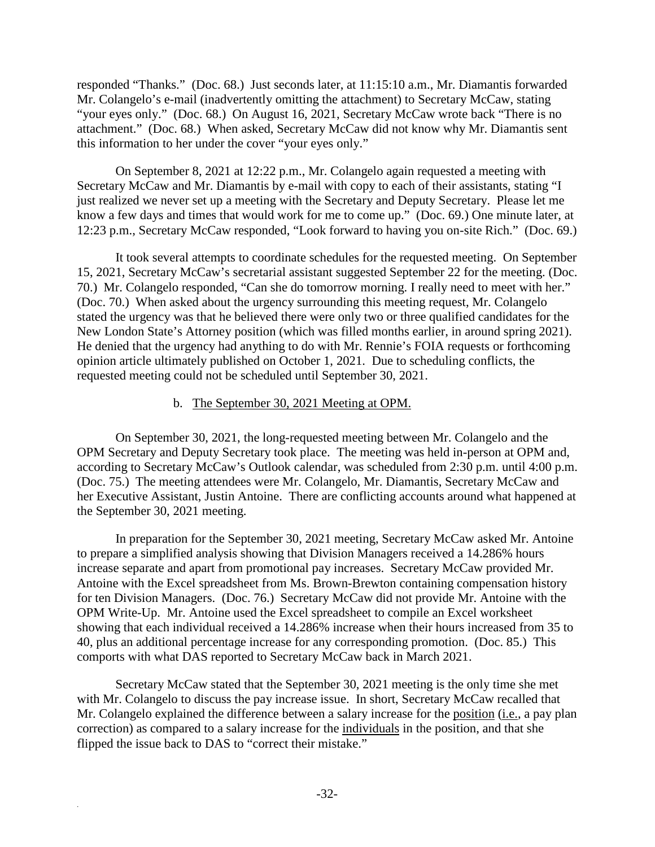responded "Thanks." (Doc. 68.) Just seconds later, at 11:15:10 a.m., Mr. Diamantis forwarded Mr. Colangelo's e-mail (inadvertently omitting the attachment) to Secretary McCaw, stating "your eyes only." (Doc. 68.) On August 16, 2021, Secretary McCaw wrote back "There is no attachment." (Doc. 68.) When asked, Secretary McCaw did not know why Mr. Diamantis sent this information to her under the cover "your eyes only."

On September 8, 2021 at 12:22 p.m., Mr. Colangelo again requested a meeting with Secretary McCaw and Mr. Diamantis by e-mail with copy to each of their assistants, stating "I just realized we never set up a meeting with the Secretary and Deputy Secretary. Please let me know a few days and times that would work for me to come up." (Doc. 69.) One minute later, at 12:23 p.m., Secretary McCaw responded, "Look forward to having you on-site Rich." (Doc. 69.)

It took several attempts to coordinate schedules for the requested meeting. On September 15, 2021, Secretary McCaw's secretarial assistant suggested September 22 for the meeting. (Doc. 70.) Mr. Colangelo responded, "Can she do tomorrow morning. I really need to meet with her." (Doc. 70.) When asked about the urgency surrounding this meeting request, Mr. Colangelo stated the urgency was that he believed there were only two or three qualified candidates for the New London State's Attorney position (which was filled months earlier, in around spring 2021). He denied that the urgency had anything to do with Mr. Rennie's FOIA requests or forthcoming opinion article ultimately published on October 1, 2021. Due to scheduling conflicts, the requested meeting could not be scheduled until September 30, 2021.

#### b. The September 30, 2021 Meeting at OPM.

On September 30, 2021, the long-requested meeting between Mr. Colangelo and the OPM Secretary and Deputy Secretary took place. The meeting was held in-person at OPM and, according to Secretary McCaw's Outlook calendar, was scheduled from 2:30 p.m. until 4:00 p.m. (Doc. 75.) The meeting attendees were Mr. Colangelo, Mr. Diamantis, Secretary McCaw and her Executive Assistant, Justin Antoine. There are conflicting accounts around what happened at the September 30, 2021 meeting.

In preparation for the September 30, 2021 meeting, Secretary McCaw asked Mr. Antoine to prepare a simplified analysis showing that Division Managers received a 14.286% hours increase separate and apart from promotional pay increases. Secretary McCaw provided Mr. Antoine with the Excel spreadsheet from Ms. Brown-Brewton containing compensation history for ten Division Managers. (Doc. 76.) Secretary McCaw did not provide Mr. Antoine with the OPM Write-Up. Mr. Antoine used the Excel spreadsheet to compile an Excel worksheet showing that each individual received a 14.286% increase when their hours increased from 35 to 40, plus an additional percentage increase for any corresponding promotion. (Doc. 85.) This comports with what DAS reported to Secretary McCaw back in March 2021.

Secretary McCaw stated that the September 30, 2021 meeting is the only time she met with Mr. Colangelo to discuss the pay increase issue. In short, Secretary McCaw recalled that Mr. Colangelo explained the difference between a salary increase for the position (i.e., a pay plan correction) as compared to a salary increase for the individuals in the position, and that she flipped the issue back to DAS to "correct their mistake."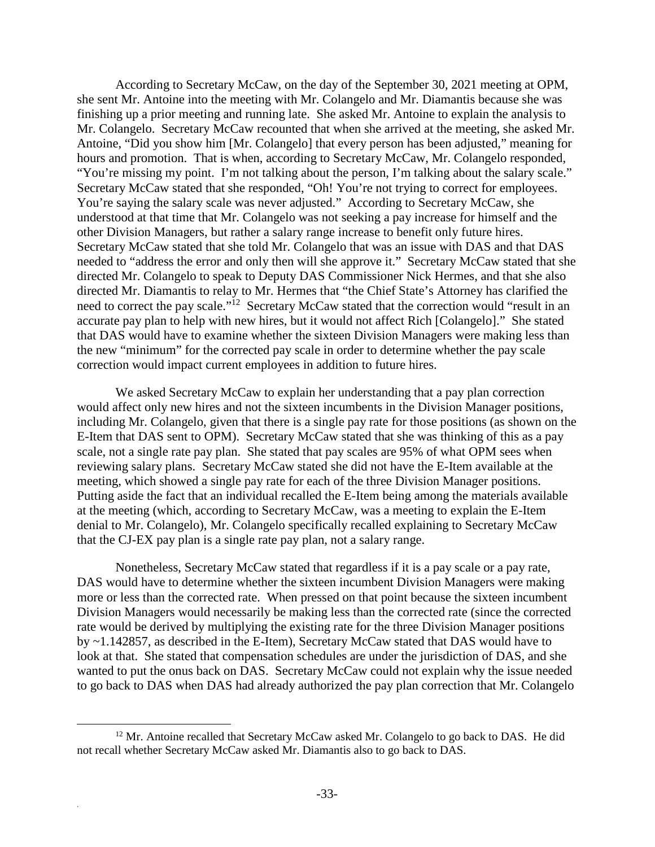According to Secretary McCaw, on the day of the September 30, 2021 meeting at OPM, she sent Mr. Antoine into the meeting with Mr. Colangelo and Mr. Diamantis because she was finishing up a prior meeting and running late. She asked Mr. Antoine to explain the analysis to Mr. Colangelo. Secretary McCaw recounted that when she arrived at the meeting, she asked Mr. Antoine, "Did you show him [Mr. Colangelo] that every person has been adjusted," meaning for hours and promotion. That is when, according to Secretary McCaw, Mr. Colangelo responded, "You're missing my point. I'm not talking about the person, I'm talking about the salary scale." Secretary McCaw stated that she responded, "Oh! You're not trying to correct for employees. You're saying the salary scale was never adjusted." According to Secretary McCaw, she understood at that time that Mr. Colangelo was not seeking a pay increase for himself and the other Division Managers, but rather a salary range increase to benefit only future hires. Secretary McCaw stated that she told Mr. Colangelo that was an issue with DAS and that DAS needed to "address the error and only then will she approve it." Secretary McCaw stated that she directed Mr. Colangelo to speak to Deputy DAS Commissioner Nick Hermes, and that she also directed Mr. Diamantis to relay to Mr. Hermes that "the Chief State's Attorney has clarified the need to correct the pay scale."<sup>12</sup> Secretary McCaw stated that the correction would "result in an accurate pay plan to help with new hires, but it would not affect Rich [Colangelo]." She stated that DAS would have to examine whether the sixteen Division Managers were making less than the new "minimum" for the corrected pay scale in order to determine whether the pay scale correction would impact current employees in addition to future hires.

We asked Secretary McCaw to explain her understanding that a pay plan correction would affect only new hires and not the sixteen incumbents in the Division Manager positions, including Mr. Colangelo, given that there is a single pay rate for those positions (as shown on the E-Item that DAS sent to OPM). Secretary McCaw stated that she was thinking of this as a pay scale, not a single rate pay plan. She stated that pay scales are 95% of what OPM sees when reviewing salary plans. Secretary McCaw stated she did not have the E-Item available at the meeting, which showed a single pay rate for each of the three Division Manager positions. Putting aside the fact that an individual recalled the E-Item being among the materials available at the meeting (which, according to Secretary McCaw, was a meeting to explain the E-Item denial to Mr. Colangelo), Mr. Colangelo specifically recalled explaining to Secretary McCaw that the CJ-EX pay plan is a single rate pay plan, not a salary range.

Nonetheless, Secretary McCaw stated that regardless if it is a pay scale or a pay rate, DAS would have to determine whether the sixteen incumbent Division Managers were making more or less than the corrected rate. When pressed on that point because the sixteen incumbent Division Managers would necessarily be making less than the corrected rate (since the corrected rate would be derived by multiplying the existing rate for the three Division Manager positions by ~1.142857, as described in the E-Item), Secretary McCaw stated that DAS would have to look at that. She stated that compensation schedules are under the jurisdiction of DAS, and she wanted to put the onus back on DAS. Secretary McCaw could not explain why the issue needed to go back to DAS when DAS had already authorized the pay plan correction that Mr. Colangelo

 $12$  Mr. Antoine recalled that Secretary McCaw asked Mr. Colangelo to go back to DAS. He did not recall whether Secretary McCaw asked Mr. Diamantis also to go back to DAS.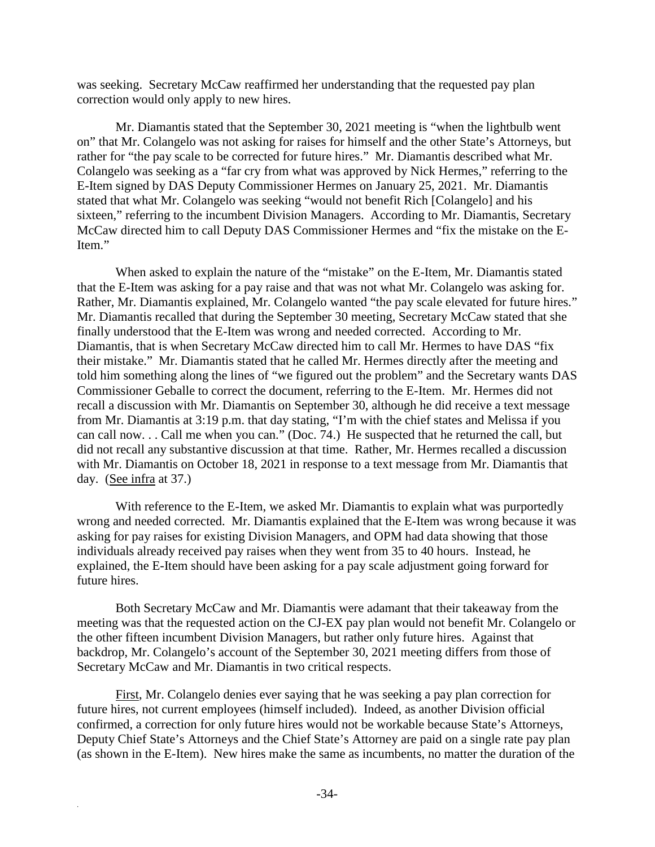was seeking. Secretary McCaw reaffirmed her understanding that the requested pay plan correction would only apply to new hires.

Mr. Diamantis stated that the September 30, 2021 meeting is "when the lightbulb went on" that Mr. Colangelo was not asking for raises for himself and the other State's Attorneys, but rather for "the pay scale to be corrected for future hires." Mr. Diamantis described what Mr. Colangelo was seeking as a "far cry from what was approved by Nick Hermes," referring to the E-Item signed by DAS Deputy Commissioner Hermes on January 25, 2021. Mr. Diamantis stated that what Mr. Colangelo was seeking "would not benefit Rich [Colangelo] and his sixteen," referring to the incumbent Division Managers. According to Mr. Diamantis, Secretary McCaw directed him to call Deputy DAS Commissioner Hermes and "fix the mistake on the E-Item."

When asked to explain the nature of the "mistake" on the E-Item, Mr. Diamantis stated that the E-Item was asking for a pay raise and that was not what Mr. Colangelo was asking for. Rather, Mr. Diamantis explained, Mr. Colangelo wanted "the pay scale elevated for future hires." Mr. Diamantis recalled that during the September 30 meeting, Secretary McCaw stated that she finally understood that the E-Item was wrong and needed corrected. According to Mr. Diamantis, that is when Secretary McCaw directed him to call Mr. Hermes to have DAS "fix their mistake." Mr. Diamantis stated that he called Mr. Hermes directly after the meeting and told him something along the lines of "we figured out the problem" and the Secretary wants DAS Commissioner Geballe to correct the document, referring to the E-Item. Mr. Hermes did not recall a discussion with Mr. Diamantis on September 30, although he did receive a text message from Mr. Diamantis at 3:19 p.m. that day stating, "I'm with the chief states and Melissa if you can call now. . . Call me when you can." (Doc. 74.) He suspected that he returned the call, but did not recall any substantive discussion at that time. Rather, Mr. Hermes recalled a discussion with Mr. Diamantis on October 18, 2021 in response to a text message from Mr. Diamantis that day. (See infra at 37.)

With reference to the E-Item, we asked Mr. Diamantis to explain what was purportedly wrong and needed corrected. Mr. Diamantis explained that the E-Item was wrong because it was asking for pay raises for existing Division Managers, and OPM had data showing that those individuals already received pay raises when they went from 35 to 40 hours. Instead, he explained, the E-Item should have been asking for a pay scale adjustment going forward for future hires.

Both Secretary McCaw and Mr. Diamantis were adamant that their takeaway from the meeting was that the requested action on the CJ-EX pay plan would not benefit Mr. Colangelo or the other fifteen incumbent Division Managers, but rather only future hires. Against that backdrop, Mr. Colangelo's account of the September 30, 2021 meeting differs from those of Secretary McCaw and Mr. Diamantis in two critical respects.

First, Mr. Colangelo denies ever saying that he was seeking a pay plan correction for future hires, not current employees (himself included). Indeed, as another Division official confirmed, a correction for only future hires would not be workable because State's Attorneys, Deputy Chief State's Attorneys and the Chief State's Attorney are paid on a single rate pay plan (as shown in the E-Item). New hires make the same as incumbents, no matter the duration of the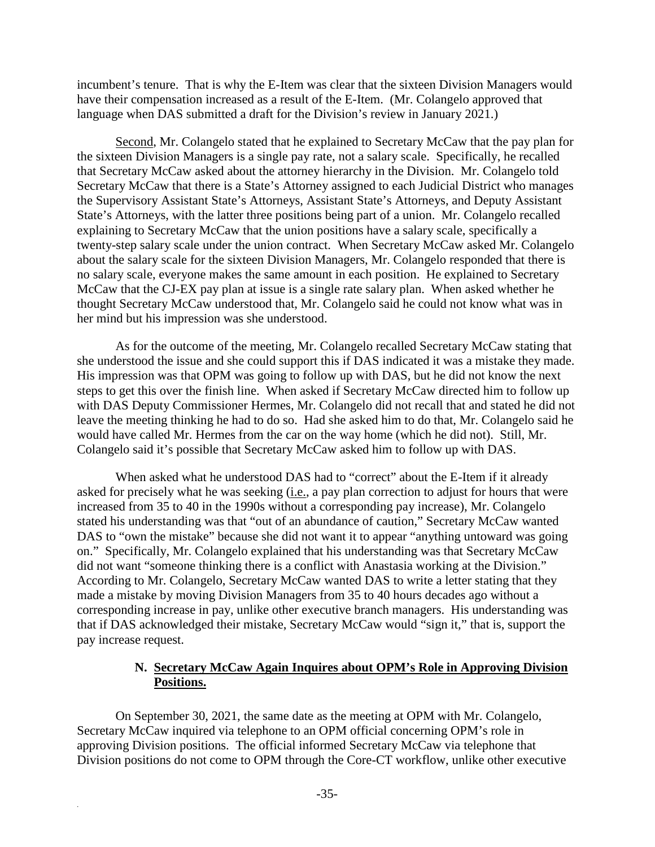incumbent's tenure. That is why the E-Item was clear that the sixteen Division Managers would have their compensation increased as a result of the E-Item. (Mr. Colangelo approved that language when DAS submitted a draft for the Division's review in January 2021.)

Second, Mr. Colangelo stated that he explained to Secretary McCaw that the pay plan for the sixteen Division Managers is a single pay rate, not a salary scale. Specifically, he recalled that Secretary McCaw asked about the attorney hierarchy in the Division. Mr. Colangelo told Secretary McCaw that there is a State's Attorney assigned to each Judicial District who manages the Supervisory Assistant State's Attorneys, Assistant State's Attorneys, and Deputy Assistant State's Attorneys, with the latter three positions being part of a union. Mr. Colangelo recalled explaining to Secretary McCaw that the union positions have a salary scale, specifically a twenty-step salary scale under the union contract. When Secretary McCaw asked Mr. Colangelo about the salary scale for the sixteen Division Managers, Mr. Colangelo responded that there is no salary scale, everyone makes the same amount in each position. He explained to Secretary McCaw that the CJ-EX pay plan at issue is a single rate salary plan. When asked whether he thought Secretary McCaw understood that, Mr. Colangelo said he could not know what was in her mind but his impression was she understood.

As for the outcome of the meeting, Mr. Colangelo recalled Secretary McCaw stating that she understood the issue and she could support this if DAS indicated it was a mistake they made. His impression was that OPM was going to follow up with DAS, but he did not know the next steps to get this over the finish line. When asked if Secretary McCaw directed him to follow up with DAS Deputy Commissioner Hermes, Mr. Colangelo did not recall that and stated he did not leave the meeting thinking he had to do so. Had she asked him to do that, Mr. Colangelo said he would have called Mr. Hermes from the car on the way home (which he did not). Still, Mr. Colangelo said it's possible that Secretary McCaw asked him to follow up with DAS.

When asked what he understood DAS had to "correct" about the E-Item if it already asked for precisely what he was seeking  $(i.e., a pay plan correction to adjust for hours that were$ increased from 35 to 40 in the 1990s without a corresponding pay increase), Mr. Colangelo stated his understanding was that "out of an abundance of caution," Secretary McCaw wanted DAS to "own the mistake" because she did not want it to appear "anything untoward was going on." Specifically, Mr. Colangelo explained that his understanding was that Secretary McCaw did not want "someone thinking there is a conflict with Anastasia working at the Division." According to Mr. Colangelo, Secretary McCaw wanted DAS to write a letter stating that they made a mistake by moving Division Managers from 35 to 40 hours decades ago without a corresponding increase in pay, unlike other executive branch managers. His understanding was that if DAS acknowledged their mistake, Secretary McCaw would "sign it," that is, support the pay increase request.

#### **N. Secretary McCaw Again Inquires about OPM's Role in Approving Division Positions.**

On September 30, 2021, the same date as the meeting at OPM with Mr. Colangelo, Secretary McCaw inquired via telephone to an OPM official concerning OPM's role in approving Division positions. The official informed Secretary McCaw via telephone that Division positions do not come to OPM through the Core-CT workflow, unlike other executive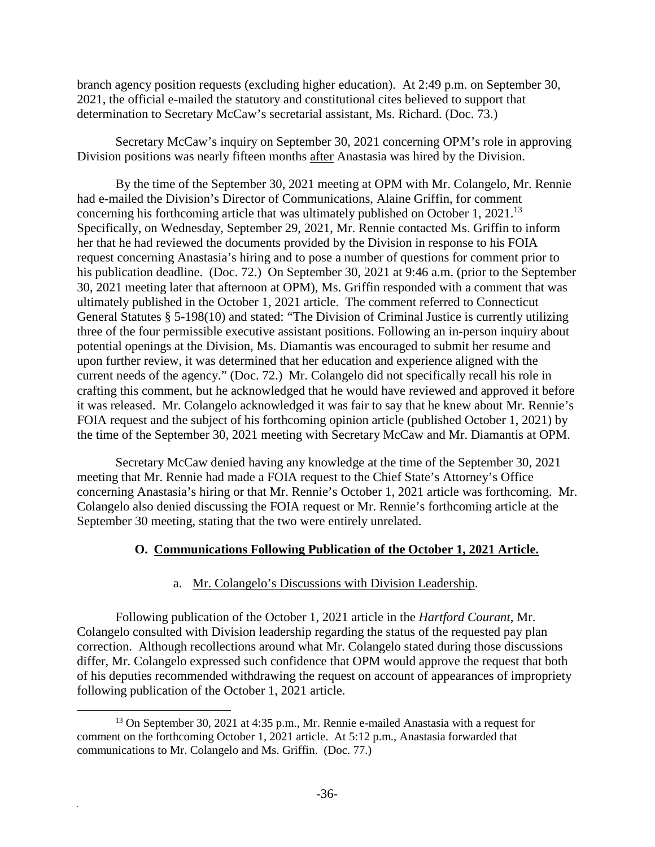branch agency position requests (excluding higher education). At 2:49 p.m. on September 30, 2021, the official e-mailed the statutory and constitutional cites believed to support that determination to Secretary McCaw's secretarial assistant, Ms. Richard. (Doc. 73.)

Secretary McCaw's inquiry on September 30, 2021 concerning OPM's role in approving Division positions was nearly fifteen months after Anastasia was hired by the Division.

By the time of the September 30, 2021 meeting at OPM with Mr. Colangelo, Mr. Rennie had e-mailed the Division's Director of Communications, Alaine Griffin, for comment concerning his forthcoming article that was ultimately published on October 1, 2021.<sup>13</sup> Specifically, on Wednesday, September 29, 2021, Mr. Rennie contacted Ms. Griffin to inform her that he had reviewed the documents provided by the Division in response to his FOIA request concerning Anastasia's hiring and to pose a number of questions for comment prior to his publication deadline. (Doc. 72.) On September 30, 2021 at 9:46 a.m. (prior to the September 30, 2021 meeting later that afternoon at OPM), Ms. Griffin responded with a comment that was ultimately published in the October 1, 2021 article. The comment referred to Connecticut General Statutes § 5-198(10) and stated: "The Division of Criminal Justice is currently utilizing three of the four permissible executive assistant positions. Following an in-person inquiry about potential openings at the Division, Ms. Diamantis was encouraged to submit her resume and upon further review, it was determined that her education and experience aligned with the current needs of the agency." (Doc. 72.) Mr. Colangelo did not specifically recall his role in crafting this comment, but he acknowledged that he would have reviewed and approved it before it was released. Mr. Colangelo acknowledged it was fair to say that he knew about Mr. Rennie's FOIA request and the subject of his forthcoming opinion article (published October 1, 2021) by the time of the September 30, 2021 meeting with Secretary McCaw and Mr. Diamantis at OPM.

Secretary McCaw denied having any knowledge at the time of the September 30, 2021 meeting that Mr. Rennie had made a FOIA request to the Chief State's Attorney's Office concerning Anastasia's hiring or that Mr. Rennie's October 1, 2021 article was forthcoming. Mr. Colangelo also denied discussing the FOIA request or Mr. Rennie's forthcoming article at the September 30 meeting, stating that the two were entirely unrelated.

#### **O. Communications Following Publication of the October 1, 2021 Article.**

#### a. Mr. Colangelo's Discussions with Division Leadership.

Following publication of the October 1, 2021 article in the *Hartford Courant*, Mr. Colangelo consulted with Division leadership regarding the status of the requested pay plan correction. Although recollections around what Mr. Colangelo stated during those discussions differ, Mr. Colangelo expressed such confidence that OPM would approve the request that both of his deputies recommended withdrawing the request on account of appearances of impropriety following publication of the October 1, 2021 article.

<sup>&</sup>lt;sup>13</sup> On September 30, 2021 at 4:35 p.m., Mr. Rennie e-mailed Anastasia with a request for comment on the forthcoming October 1, 2021 article. At 5:12 p.m., Anastasia forwarded that communications to Mr. Colangelo and Ms. Griffin. (Doc. 77.)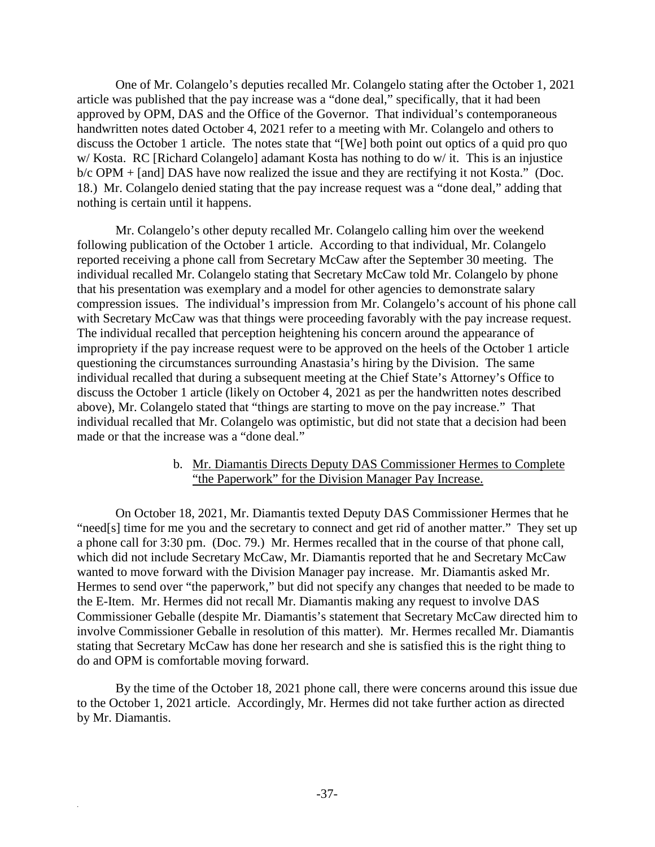One of Mr. Colangelo's deputies recalled Mr. Colangelo stating after the October 1, 2021 article was published that the pay increase was a "done deal," specifically, that it had been approved by OPM, DAS and the Office of the Governor. That individual's contemporaneous handwritten notes dated October 4, 2021 refer to a meeting with Mr. Colangelo and others to discuss the October 1 article. The notes state that "[We] both point out optics of a quid pro quo w/ Kosta. RC [Richard Colangelo] adamant Kosta has nothing to do w/ it. This is an injustice b/c OPM + [and] DAS have now realized the issue and they are rectifying it not Kosta." (Doc. 18.) Mr. Colangelo denied stating that the pay increase request was a "done deal," adding that nothing is certain until it happens.

Mr. Colangelo's other deputy recalled Mr. Colangelo calling him over the weekend following publication of the October 1 article. According to that individual, Mr. Colangelo reported receiving a phone call from Secretary McCaw after the September 30 meeting. The individual recalled Mr. Colangelo stating that Secretary McCaw told Mr. Colangelo by phone that his presentation was exemplary and a model for other agencies to demonstrate salary compression issues. The individual's impression from Mr. Colangelo's account of his phone call with Secretary McCaw was that things were proceeding favorably with the pay increase request. The individual recalled that perception heightening his concern around the appearance of impropriety if the pay increase request were to be approved on the heels of the October 1 article questioning the circumstances surrounding Anastasia's hiring by the Division. The same individual recalled that during a subsequent meeting at the Chief State's Attorney's Office to discuss the October 1 article (likely on October 4, 2021 as per the handwritten notes described above), Mr. Colangelo stated that "things are starting to move on the pay increase." That individual recalled that Mr. Colangelo was optimistic, but did not state that a decision had been made or that the increase was a "done deal."

#### b. Mr. Diamantis Directs Deputy DAS Commissioner Hermes to Complete "the Paperwork" for the Division Manager Pay Increase.

On October 18, 2021, Mr. Diamantis texted Deputy DAS Commissioner Hermes that he "need[s] time for me you and the secretary to connect and get rid of another matter." They set up a phone call for 3:30 pm. (Doc. 79.) Mr. Hermes recalled that in the course of that phone call, which did not include Secretary McCaw, Mr. Diamantis reported that he and Secretary McCaw wanted to move forward with the Division Manager pay increase. Mr. Diamantis asked Mr. Hermes to send over "the paperwork," but did not specify any changes that needed to be made to the E-Item. Mr. Hermes did not recall Mr. Diamantis making any request to involve DAS Commissioner Geballe (despite Mr. Diamantis's statement that Secretary McCaw directed him to involve Commissioner Geballe in resolution of this matter). Mr. Hermes recalled Mr. Diamantis stating that Secretary McCaw has done her research and she is satisfied this is the right thing to do and OPM is comfortable moving forward.

By the time of the October 18, 2021 phone call, there were concerns around this issue due to the October 1, 2021 article. Accordingly, Mr. Hermes did not take further action as directed by Mr. Diamantis.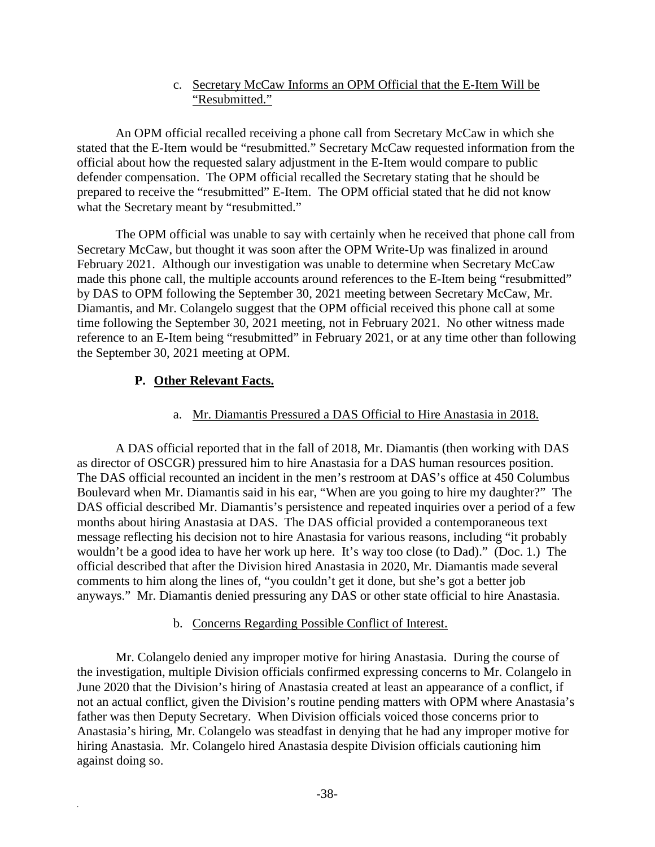#### c. Secretary McCaw Informs an OPM Official that the E-Item Will be "Resubmitted."

An OPM official recalled receiving a phone call from Secretary McCaw in which she stated that the E-Item would be "resubmitted." Secretary McCaw requested information from the official about how the requested salary adjustment in the E-Item would compare to public defender compensation. The OPM official recalled the Secretary stating that he should be prepared to receive the "resubmitted" E-Item. The OPM official stated that he did not know what the Secretary meant by "resubmitted."

The OPM official was unable to say with certainly when he received that phone call from Secretary McCaw, but thought it was soon after the OPM Write-Up was finalized in around February 2021. Although our investigation was unable to determine when Secretary McCaw made this phone call, the multiple accounts around references to the E-Item being "resubmitted" by DAS to OPM following the September 30, 2021 meeting between Secretary McCaw, Mr. Diamantis, and Mr. Colangelo suggest that the OPM official received this phone call at some time following the September 30, 2021 meeting, not in February 2021. No other witness made reference to an E-Item being "resubmitted" in February 2021, or at any time other than following the September 30, 2021 meeting at OPM.

#### **P. Other Relevant Facts.**

.

#### a. Mr. Diamantis Pressured a DAS Official to Hire Anastasia in 2018.

A DAS official reported that in the fall of 2018, Mr. Diamantis (then working with DAS as director of OSCGR) pressured him to hire Anastasia for a DAS human resources position. The DAS official recounted an incident in the men's restroom at DAS's office at 450 Columbus Boulevard when Mr. Diamantis said in his ear, "When are you going to hire my daughter?" The DAS official described Mr. Diamantis's persistence and repeated inquiries over a period of a few months about hiring Anastasia at DAS. The DAS official provided a contemporaneous text message reflecting his decision not to hire Anastasia for various reasons, including "it probably wouldn't be a good idea to have her work up here. It's way too close (to Dad)." (Doc. 1.) The official described that after the Division hired Anastasia in 2020, Mr. Diamantis made several comments to him along the lines of, "you couldn't get it done, but she's got a better job anyways." Mr. Diamantis denied pressuring any DAS or other state official to hire Anastasia.

#### b. Concerns Regarding Possible Conflict of Interest.

Mr. Colangelo denied any improper motive for hiring Anastasia. During the course of the investigation, multiple Division officials confirmed expressing concerns to Mr. Colangelo in June 2020 that the Division's hiring of Anastasia created at least an appearance of a conflict, if not an actual conflict, given the Division's routine pending matters with OPM where Anastasia's father was then Deputy Secretary. When Division officials voiced those concerns prior to Anastasia's hiring, Mr. Colangelo was steadfast in denying that he had any improper motive for hiring Anastasia. Mr. Colangelo hired Anastasia despite Division officials cautioning him against doing so.